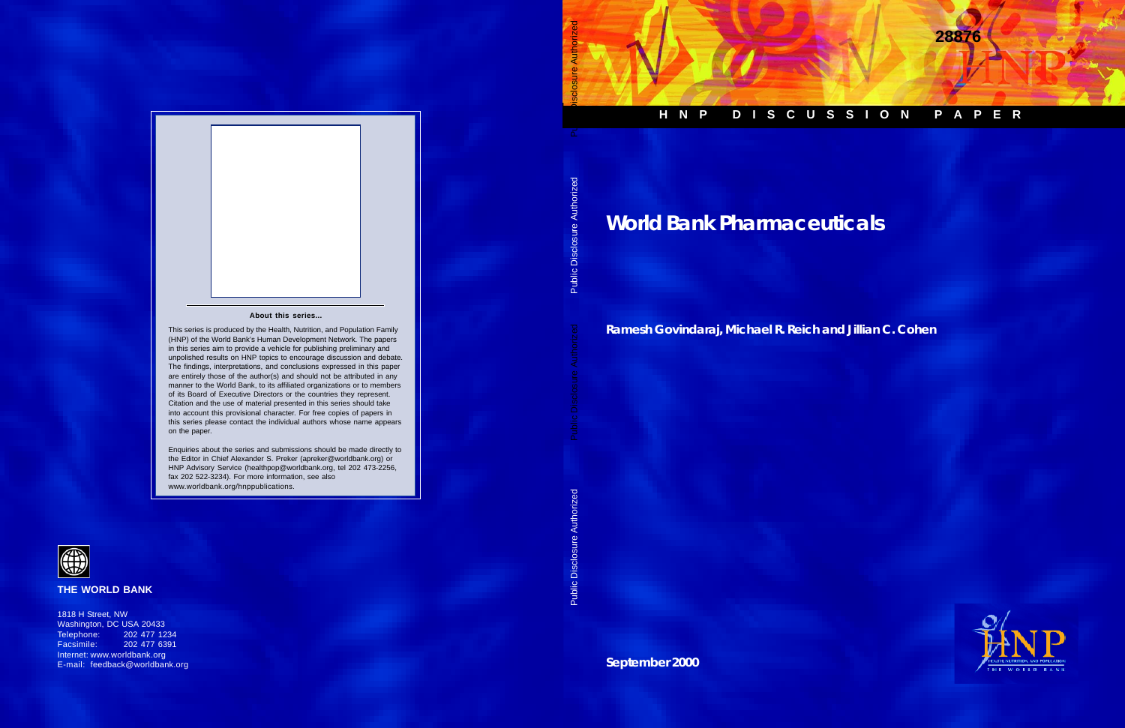# **HNP DISCUSSION PAPER**

**28876**

**World Bank Pharmaceuticals**

**Ramesh Govindaraj, Michael R. Reich and Jillian C. Cohen**



**September 2000**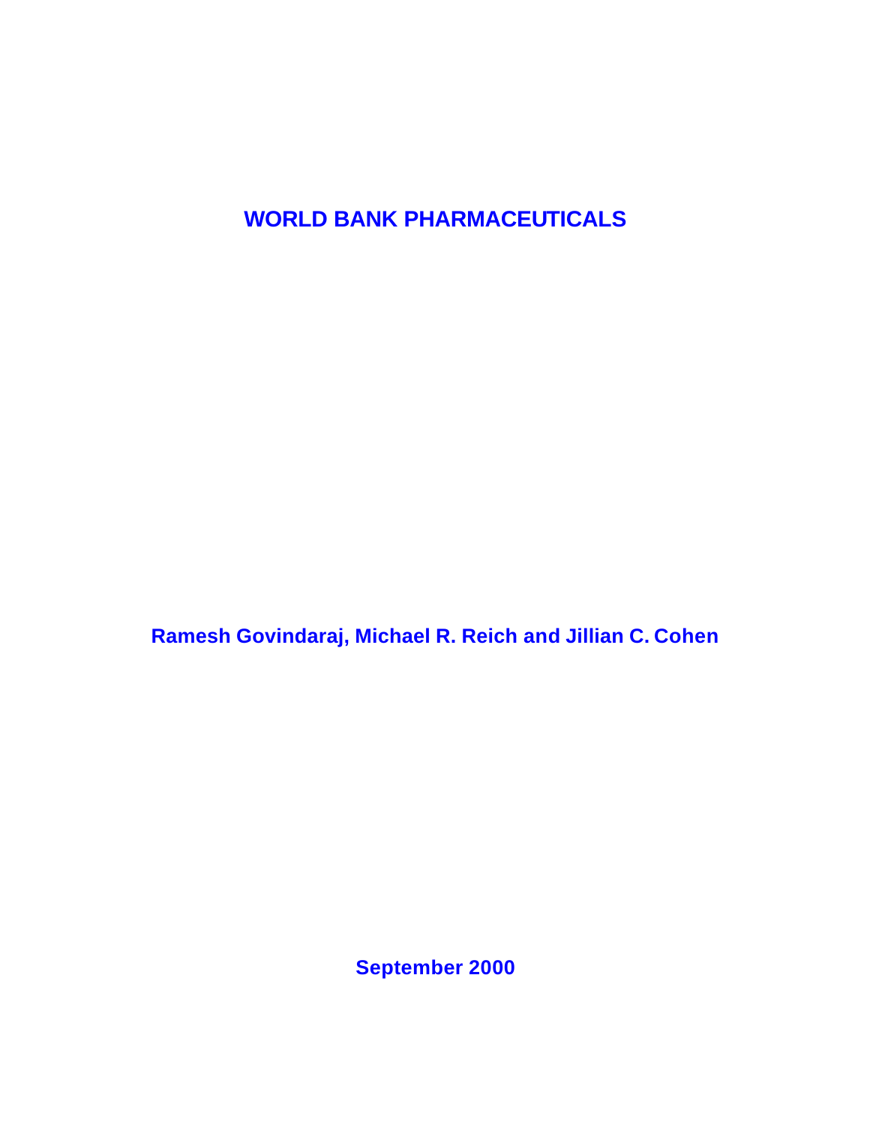**WORLD BANK PHARMACEUTICALS**

**Ramesh Govindaraj, Michael R. Reich and Jillian C. Cohen**

**September 2000**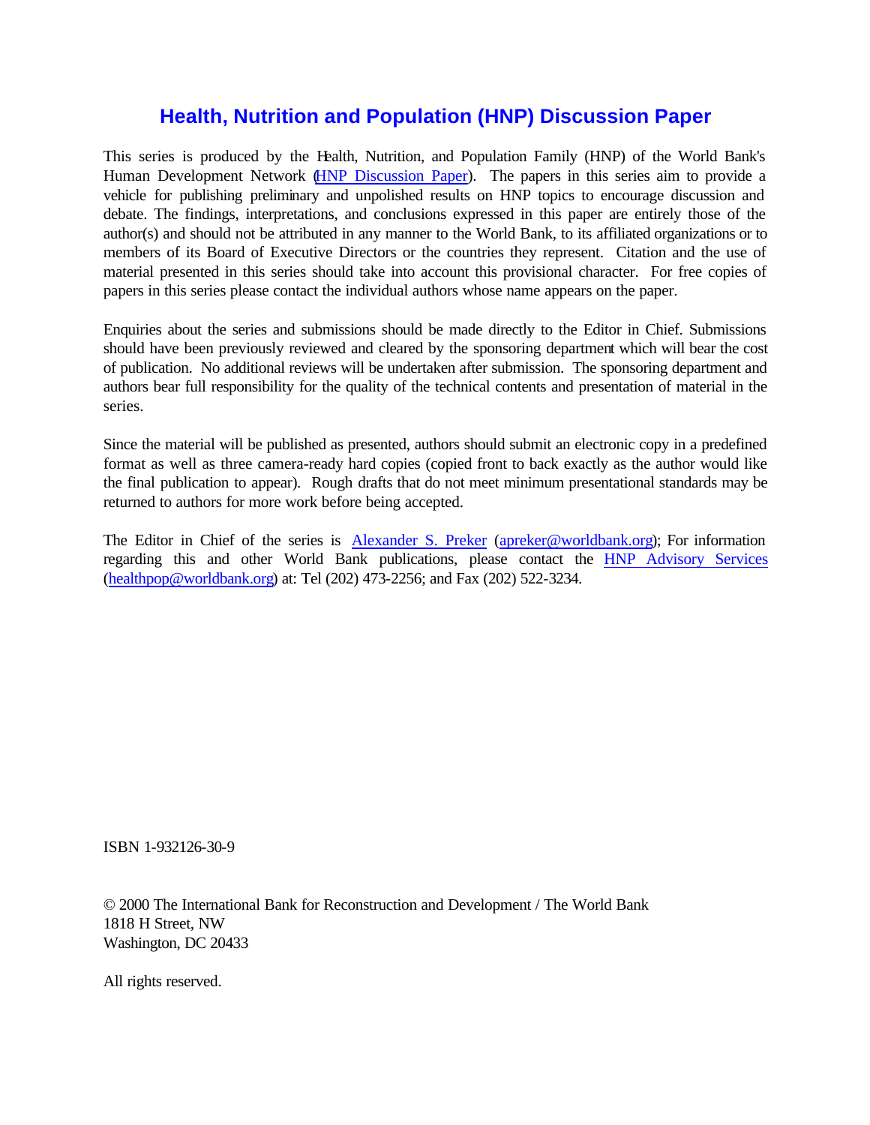# **Health, Nutrition and Population (HNP) Discussion Paper**

This series is produced by the Health, Nutrition, and Population Family (HNP) of the World Bank's Human Development Network [\(HNP Discussion Paper\)](http://www1.worldbank.org/hnp/pub_discussion.asp). The papers in this series aim to provide a vehicle for publishing preliminary and unpolished results on HNP topics to encourage discussion and debate. The findings, interpretations, and conclusions expressed in this paper are entirely those of the author(s) and should not be attributed in any manner to the World Bank, to its affiliated organizations or to members of its Board of Executive Directors or the countries they represent. Citation and the use of material presented in this series should take into account this provisional character. For free copies of papers in this series please contact the individual authors whose name appears on the paper.

Enquiries about the series and submissions should be made directly to the Editor in Chief. Submissions should have been previously reviewed and cleared by the sponsoring department which will bear the cost of publication. No additional reviews will be undertaken after submission. The sponsoring department and authors bear full responsibility for the quality of the technical contents and presentation of material in the series.

Since the material will be published as presented, authors should submit an electronic copy in a predefined format as well as three camera-ready hard copies (copied front to back exactly as the author would like the final publication to appear). Rough drafts that do not meet minimum presentational standards may be returned to authors for more work before being accepted.

The Editor in Chief of the series is [Alexander S. Preker](http://wbln0018.worldbank.org/HDNet/hddocs.nsf/c840b59b6982d2498525670c004def60/6199648fa2e3b62c85256b5e00653d79?OpenDocument) (apreker@worldbank.org); For information regarding this and other World Bank publications, please contact the [HNP Advisory Services](http://wbln0018.worldbank.org/HDNet/hddocs.nsf/3c40f1b1e55c7e4b852566f70006e922/72cad1f856bee231852567b30062fd9b?OpenDocument) (healthpop@worldbank.org) at: Tel (202) 473-2256; and Fax (202) 522-3234.

ISBN 1-932126-30-9

© 2000 The International Bank for Reconstruction and Development / The World Bank 1818 H Street, NW Washington, DC 20433

All rights reserved.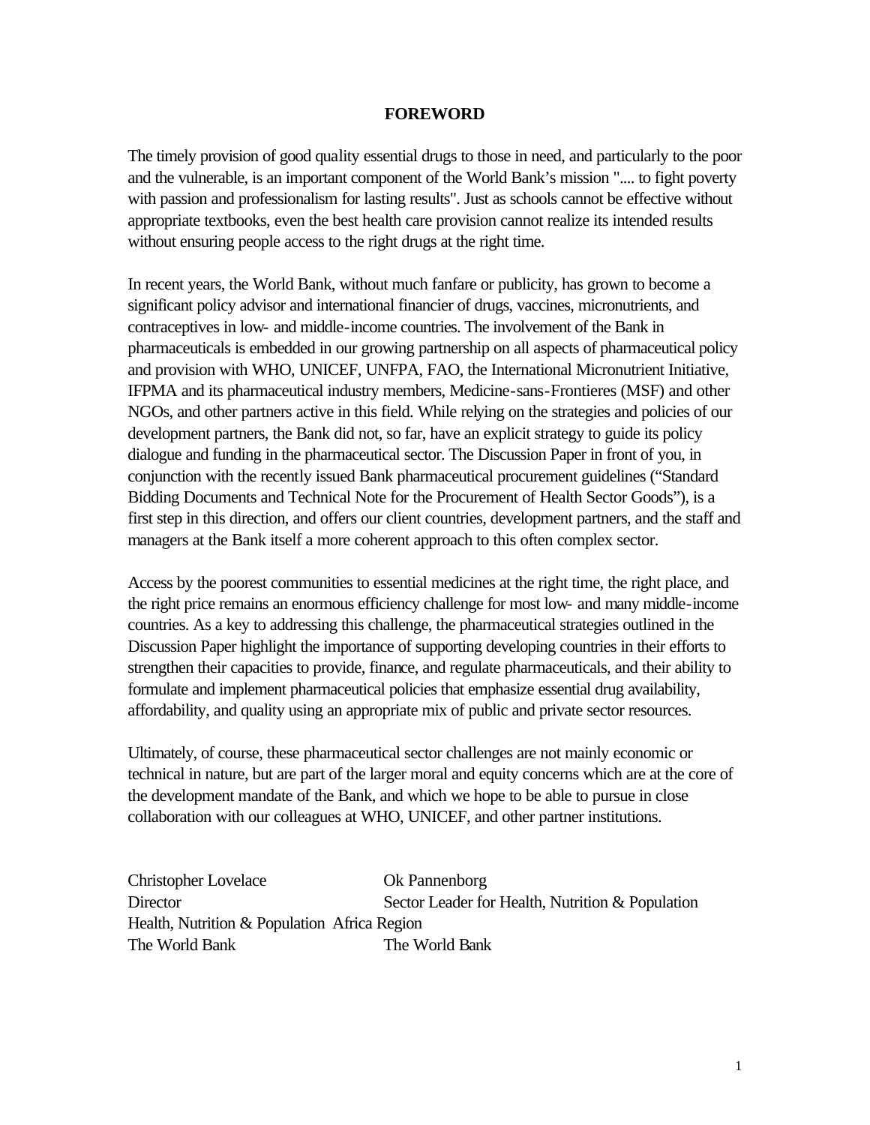#### **FOREWORD**

The timely provision of good quality essential drugs to those in need, and particularly to the poor and the vulnerable, is an important component of the World Bank's mission ".... to fight poverty with passion and professionalism for lasting results". Just as schools cannot be effective without appropriate textbooks, even the best health care provision cannot realize its intended results without ensuring people access to the right drugs at the right time.

In recent years, the World Bank, without much fanfare or publicity, has grown to become a significant policy advisor and international financier of drugs, vaccines, micronutrients, and contraceptives in low- and middle-income countries. The involvement of the Bank in pharmaceuticals is embedded in our growing partnership on all aspects of pharmaceutical policy and provision with WHO, UNICEF, UNFPA, FAO, the International Micronutrient Initiative, IFPMA and its pharmaceutical industry members, Medicine-sans-Frontieres (MSF) and other NGOs, and other partners active in this field. While relying on the strategies and policies of our development partners, the Bank did not, so far, have an explicit strategy to guide its policy dialogue and funding in the pharmaceutical sector. The Discussion Paper in front of you, in conjunction with the recently issued Bank pharmaceutical procurement guidelines ("Standard Bidding Documents and Technical Note for the Procurement of Health Sector Goods"), is a first step in this direction, and offers our client countries, development partners, and the staff and managers at the Bank itself a more coherent approach to this often complex sector.

Access by the poorest communities to essential medicines at the right time, the right place, and the right price remains an enormous efficiency challenge for most low- and many middle-income countries. As a key to addressing this challenge, the pharmaceutical strategies outlined in the Discussion Paper highlight the importance of supporting developing countries in their efforts to strengthen their capacities to provide, finance, and regulate pharmaceuticals, and their ability to formulate and implement pharmaceutical policies that emphasize essential drug availability, affordability, and quality using an appropriate mix of public and private sector resources.

Ultimately, of course, these pharmaceutical sector challenges are not mainly economic or technical in nature, but are part of the larger moral and equity concerns which are at the core of the development mandate of the Bank, and which we hope to be able to pursue in close collaboration with our colleagues at WHO, UNICEF, and other partner institutions.

| <b>Christopher Lovelace</b>                  | Ok Pannenborg                                    |
|----------------------------------------------|--------------------------------------------------|
| Director                                     | Sector Leader for Health, Nutrition & Population |
| Health, Nutrition & Population Africa Region |                                                  |
| The World Bank                               | The World Bank                                   |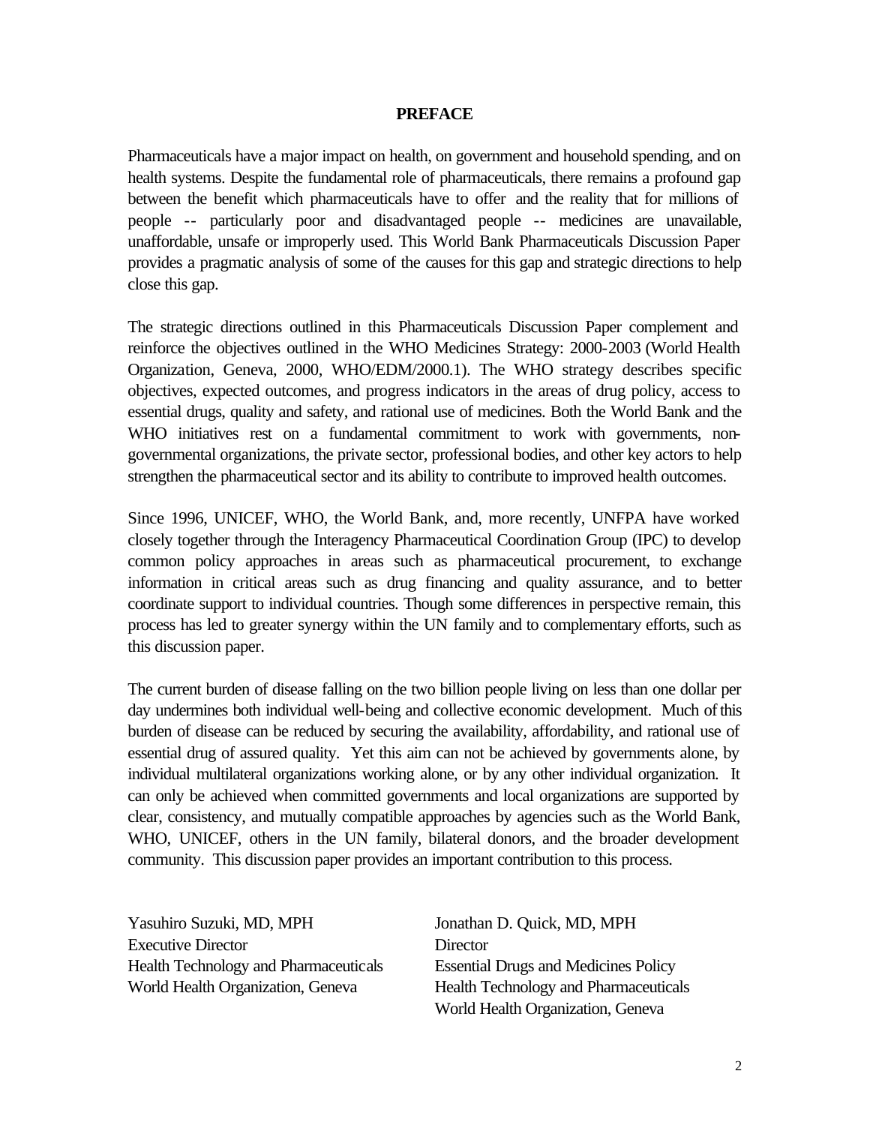#### **PREFACE**

Pharmaceuticals have a major impact on health, on government and household spending, and on health systems. Despite the fundamental role of pharmaceuticals, there remains a profound gap between the benefit which pharmaceuticals have to offer and the reality that for millions of people -- particularly poor and disadvantaged people -- medicines are unavailable, unaffordable, unsafe or improperly used. This World Bank Pharmaceuticals Discussion Paper provides a pragmatic analysis of some of the causes for this gap and strategic directions to help close this gap.

The strategic directions outlined in this Pharmaceuticals Discussion Paper complement and reinforce the objectives outlined in the WHO Medicines Strategy: 2000-2003 (World Health Organization, Geneva, 2000, WHO/EDM/2000.1). The WHO strategy describes specific objectives, expected outcomes, and progress indicators in the areas of drug policy, access to essential drugs, quality and safety, and rational use of medicines. Both the World Bank and the WHO initiatives rest on a fundamental commitment to work with governments, nongovernmental organizations, the private sector, professional bodies, and other key actors to help strengthen the pharmaceutical sector and its ability to contribute to improved health outcomes.

Since 1996, UNICEF, WHO, the World Bank, and, more recently, UNFPA have worked closely together through the Interagency Pharmaceutical Coordination Group (IPC) to develop common policy approaches in areas such as pharmaceutical procurement, to exchange information in critical areas such as drug financing and quality assurance, and to better coordinate support to individual countries. Though some differences in perspective remain, this process has led to greater synergy within the UN family and to complementary efforts, such as this discussion paper.

The current burden of disease falling on the two billion people living on less than one dollar per day undermines both individual well-being and collective economic development. Much of this burden of disease can be reduced by securing the availability, affordability, and rational use of essential drug of assured quality. Yet this aim can not be achieved by governments alone, by individual multilateral organizations working alone, or by any other individual organization. It can only be achieved when committed governments and local organizations are supported by clear, consistency, and mutually compatible approaches by agencies such as the World Bank, WHO, UNICEF, others in the UN family, bilateral donors, and the broader development community. This discussion paper provides an important contribution to this process.

Yasuhiro Suzuki, MD, MPH Jonathan D. Quick, MD, MPH Executive Director Director Health Technology and Pharmaceuticals Essential Drugs and Medicines Policy

World Health Organization, Geneva Health Technology and Pharmaceuticals World Health Organization, Geneva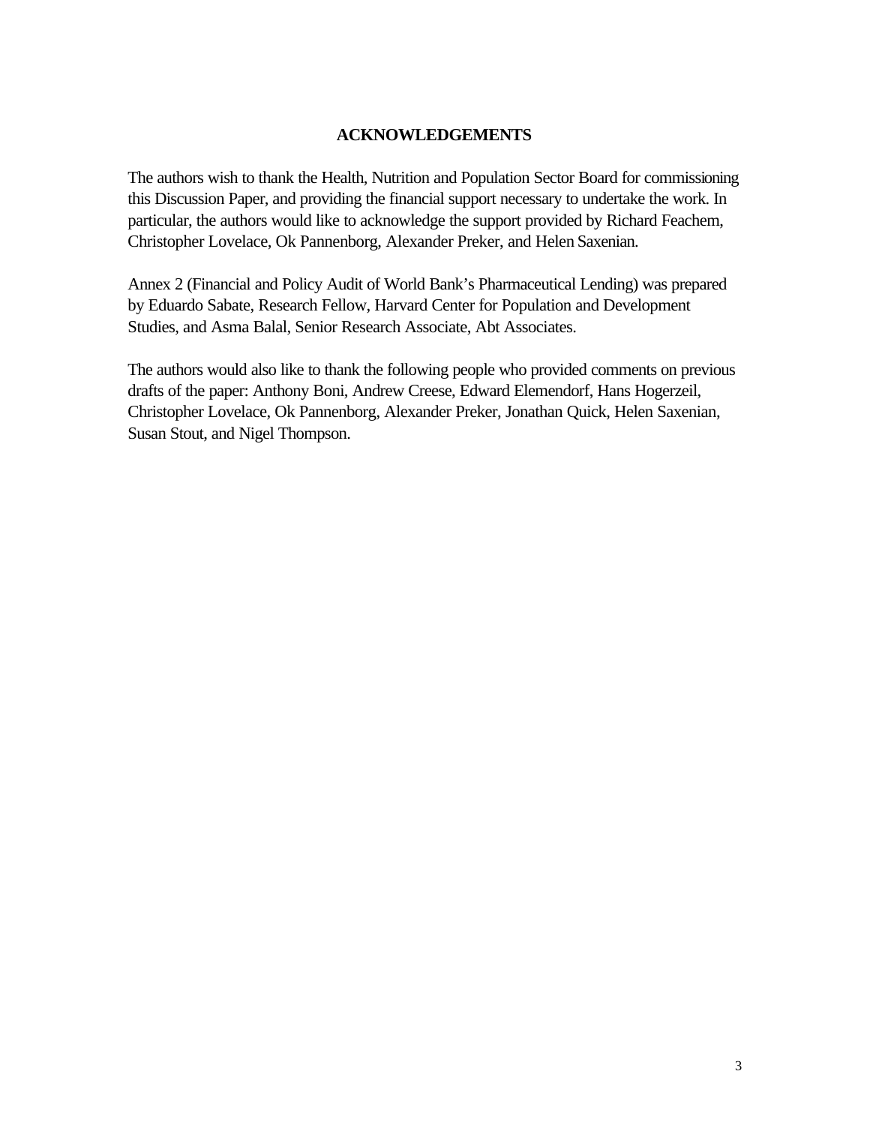#### **ACKNOWLEDGEMENTS**

The authors wish to thank the Health, Nutrition and Population Sector Board for commissioning this Discussion Paper, and providing the financial support necessary to undertake the work. In particular, the authors would like to acknowledge the support provided by Richard Feachem, Christopher Lovelace, Ok Pannenborg, Alexander Preker, and Helen Saxenian.

Annex 2 (Financial and Policy Audit of World Bank's Pharmaceutical Lending) was prepared by Eduardo Sabate, Research Fellow, Harvard Center for Population and Development Studies, and Asma Balal, Senior Research Associate, Abt Associates.

The authors would also like to thank the following people who provided comments on previous drafts of the paper: Anthony Boni, Andrew Creese, Edward Elemendorf, Hans Hogerzeil, Christopher Lovelace, Ok Pannenborg, Alexander Preker, Jonathan Quick, Helen Saxenian, Susan Stout, and Nigel Thompson.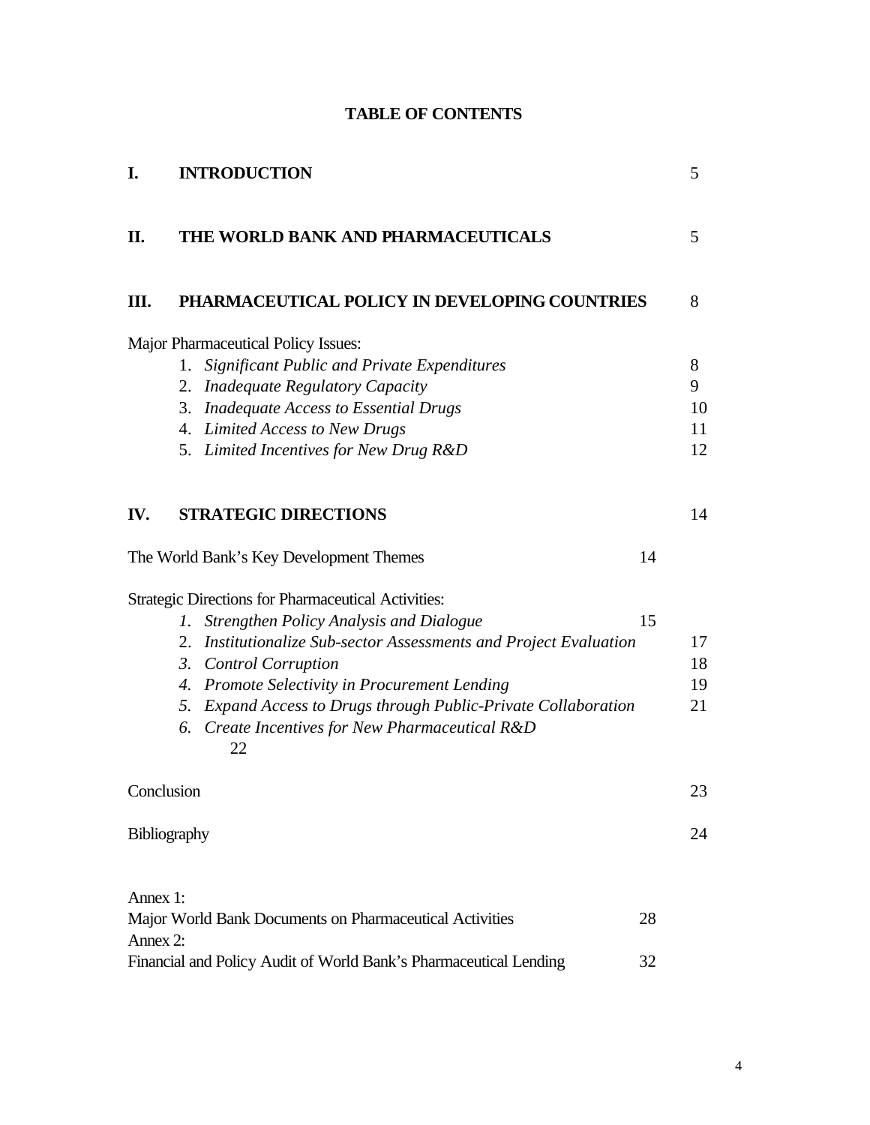| <b>TABLE OF CONTENTS</b> |  |  |  |  |  |
|--------------------------|--|--|--|--|--|
|--------------------------|--|--|--|--|--|

| I.           | <b>INTRODUCTION</b>                                                      |    | 5  |
|--------------|--------------------------------------------------------------------------|----|----|
| П.           | THE WORLD BANK AND PHARMACEUTICALS                                       |    | 5  |
| Ш.           | PHARMACEUTICAL POLICY IN DEVELOPING COUNTRIES                            |    | 8  |
|              | Major Pharmaceutical Policy Issues:                                      |    |    |
|              | 1. Significant Public and Private Expenditures                           |    | 8  |
|              | <b>Inadequate Regulatory Capacity</b><br>2.                              |    | 9  |
|              | <b>Inadequate Access to Essential Drugs</b><br>3.                        |    | 10 |
|              | 4. Limited Access to New Drugs                                           |    | 11 |
|              | 5. Limited Incentives for New Drug R&D                                   |    | 12 |
| IV.          | <b>STRATEGIC DIRECTIONS</b>                                              |    | 14 |
|              | The World Bank's Key Development Themes                                  | 14 |    |
|              | <b>Strategic Directions for Pharmaceutical Activities:</b>               |    |    |
|              | Strengthen Policy Analysis and Dialogue<br>Ι.                            | 15 |    |
|              | Institutionalize Sub-sector Assessments and Project Evaluation<br>2.     |    | 17 |
|              | <b>Control Corruption</b><br>3.                                          |    | 18 |
|              | Promote Selectivity in Procurement Lending<br>4.                         |    | 19 |
|              | <b>Expand Access to Drugs through Public-Private Collaboration</b><br>5. |    | 21 |
|              | Create Incentives for New Pharmaceutical R&D<br>6.<br>22                 |    |    |
| Conclusion   |                                                                          |    | 23 |
| Bibliography |                                                                          |    | 24 |
| Annex 1:     |                                                                          |    |    |
|              | Major World Bank Documents on Pharmaceutical Activities                  | 28 |    |
| Annex 2:     |                                                                          |    |    |
|              | Financial and Policy Audit of World Bank's Pharmaceutical Lending        | 32 |    |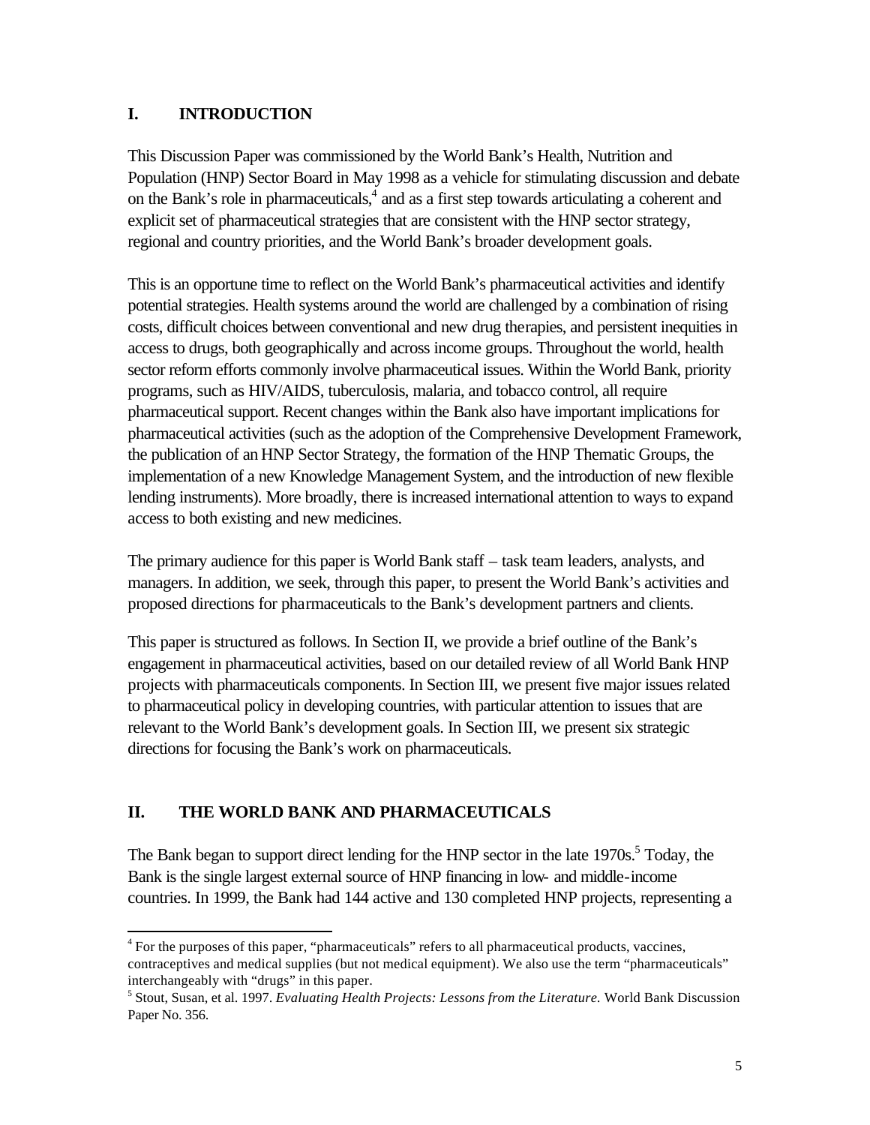## <span id="page-8-0"></span>**I. INTRODUCTION**

This Discussion Paper was commissioned by the World Bank's Health, Nutrition and Population (HNP) Sector Board in May 1998 as a vehicle for stimulating discussion and debate on the Bank's role in pharmaceuticals,<sup>4</sup> and as a first step towards articulating a coherent and explicit set of pharmaceutical strategies that are consistent with the HNP sector strategy, regional and country priorities, and the World Bank's broader development goals.

This is an opportune time to reflect on the World Bank's pharmaceutical activities and identify potential strategies. Health systems around the world are challenged by a combination of rising costs, difficult choices between conventional and new drug therapies, and persistent inequities in access to drugs, both geographically and across income groups. Throughout the world, health sector reform efforts commonly involve pharmaceutical issues. Within the World Bank, priority programs, such as HIV/AIDS, tuberculosis, malaria, and tobacco control, all require pharmaceutical support. Recent changes within the Bank also have important implications for pharmaceutical activities (such as the adoption of the Comprehensive Development Framework, the publication of an HNP Sector Strategy, the formation of the HNP Thematic Groups, the implementation of a new Knowledge Management System, and the introduction of new flexible lending instruments). More broadly, there is increased international attention to ways to expand access to both existing and new medicines.

The primary audience for this paper is World Bank staff – task team leaders, analysts, and managers. In addition, we seek, through this paper, to present the World Bank's activities and proposed directions for pharmaceuticals to the Bank's development partners and clients.

This paper is structured as follows. In Section II, we provide a brief outline of the Bank's engagement in pharmaceutical activities, based on our detailed review of all World Bank HNP projects with pharmaceuticals components. In Section III, we present five major issues related to pharmaceutical policy in developing countries, with particular attention to issues that are relevant to the World Bank's development goals. In Section III, we present six strategic directions for focusing the Bank's work on pharmaceuticals.

# **II. THE WORLD BANK AND PHARMACEUTICALS**

l

The Bank began to support direct lending for the HNP sector in the late 1970s.<sup>5</sup> Today, the Bank is the single largest external source of HNP financing in low- and middle-income countries. In 1999, the Bank had 144 active and 130 completed HNP projects, representing a

<sup>&</sup>lt;sup>4</sup> For the purposes of this paper, "pharmaceuticals" refers to all pharmaceutical products, vaccines, contraceptives and medical supplies (but not medical equipment). We also use the term "pharmaceuticals" interchangeably with "drugs" in this paper.

<sup>5</sup> Stout, Susan, et al. 1997. *Evaluating Health Projects: Lessons from the Literature.* World Bank Discussion Paper No. 356.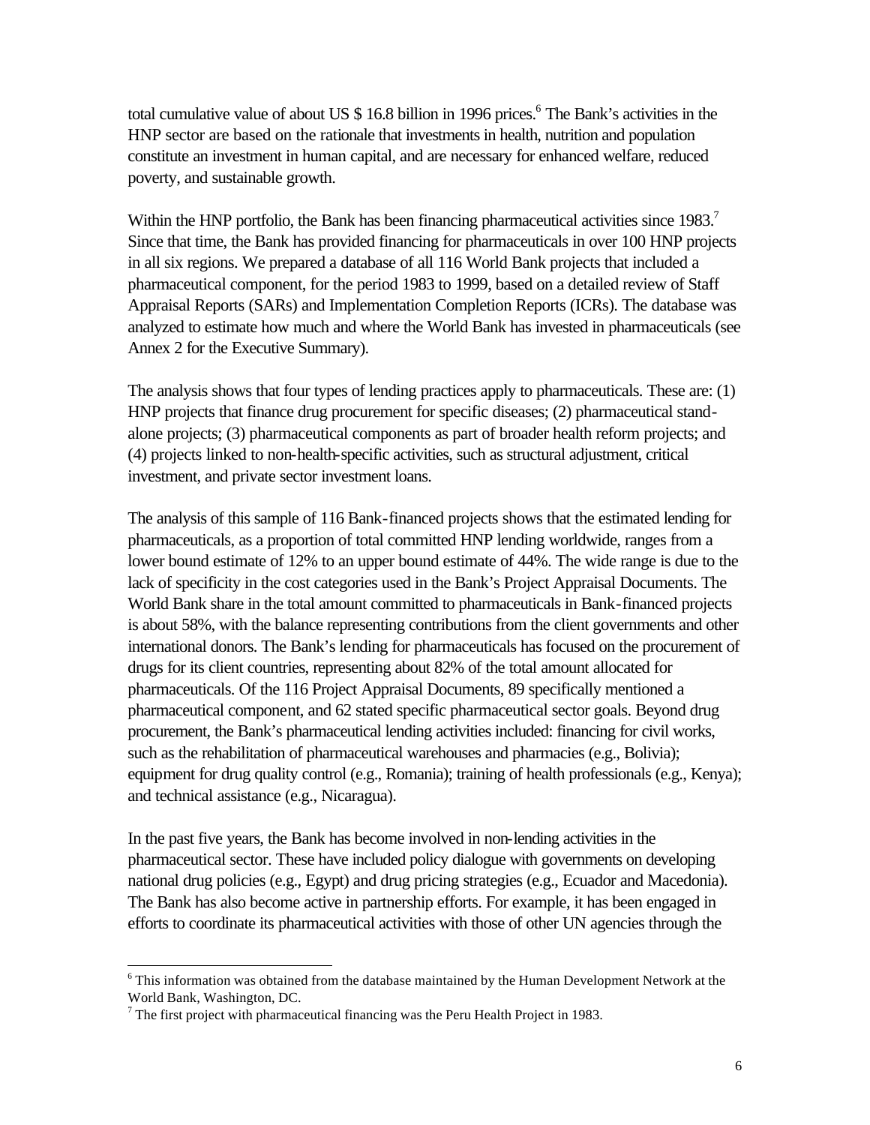total cumulative value of about US \$ 16.8 billion in 1996 prices.<sup>6</sup> The Bank's activities in the HNP sector are based on the rationale that investments in health, nutrition and population constitute an investment in human capital, and are necessary for enhanced welfare, reduced poverty, and sustainable growth.

Within the HNP portfolio, the Bank has been financing pharmaceutical activities since 1983.<sup>7</sup> Since that time, the Bank has provided financing for pharmaceuticals in over 100 HNP projects in all six regions. We prepared a database of all 116 World Bank projects that included a pharmaceutical component, for the period 1983 to 1999, based on a detailed review of Staff Appraisal Reports (SARs) and Implementation Completion Reports (ICRs). The database was analyzed to estimate how much and where the World Bank has invested in pharmaceuticals (see Annex 2 for the Executive Summary).

The analysis shows that four types of lending practices apply to pharmaceuticals. These are: (1) HNP projects that finance drug procurement for specific diseases; (2) pharmaceutical standalone projects; (3) pharmaceutical components as part of broader health reform projects; and (4) projects linked to non-health-specific activities, such as structural adjustment, critical investment, and private sector investment loans.

The analysis of this sample of 116 Bank-financed projects shows that the estimated lending for pharmaceuticals, as a proportion of total committed HNP lending worldwide, ranges from a lower bound estimate of 12% to an upper bound estimate of 44%. The wide range is due to the lack of specificity in the cost categories used in the Bank's Project Appraisal Documents. The World Bank share in the total amount committed to pharmaceuticals in Bank-financed projects is about 58%, with the balance representing contributions from the client governments and other international donors. The Bank's lending for pharmaceuticals has focused on the procurement of drugs for its client countries, representing about 82% of the total amount allocated for pharmaceuticals. Of the 116 Project Appraisal Documents, 89 specifically mentioned a pharmaceutical component, and 62 stated specific pharmaceutical sector goals. Beyond drug procurement, the Bank's pharmaceutical lending activities included: financing for civil works, such as the rehabilitation of pharmaceutical warehouses and pharmacies (e.g., Bolivia); equipment for drug quality control (e.g., Romania); training of health professionals (e.g., Kenya); and technical assistance (e.g., Nicaragua).

In the past five years, the Bank has become involved in non-lending activities in the pharmaceutical sector. These have included policy dialogue with governments on developing national drug policies (e.g., Egypt) and drug pricing strategies (e.g., Ecuador and Macedonia). The Bank has also become active in partnership efforts. For example, it has been engaged in efforts to coordinate its pharmaceutical activities with those of other UN agencies through the

 $6$  This information was obtained from the database maintained by the Human Development Network at the World Bank, Washington, DC.

The first project with pharmaceutical financing was the Peru Health Project in 1983.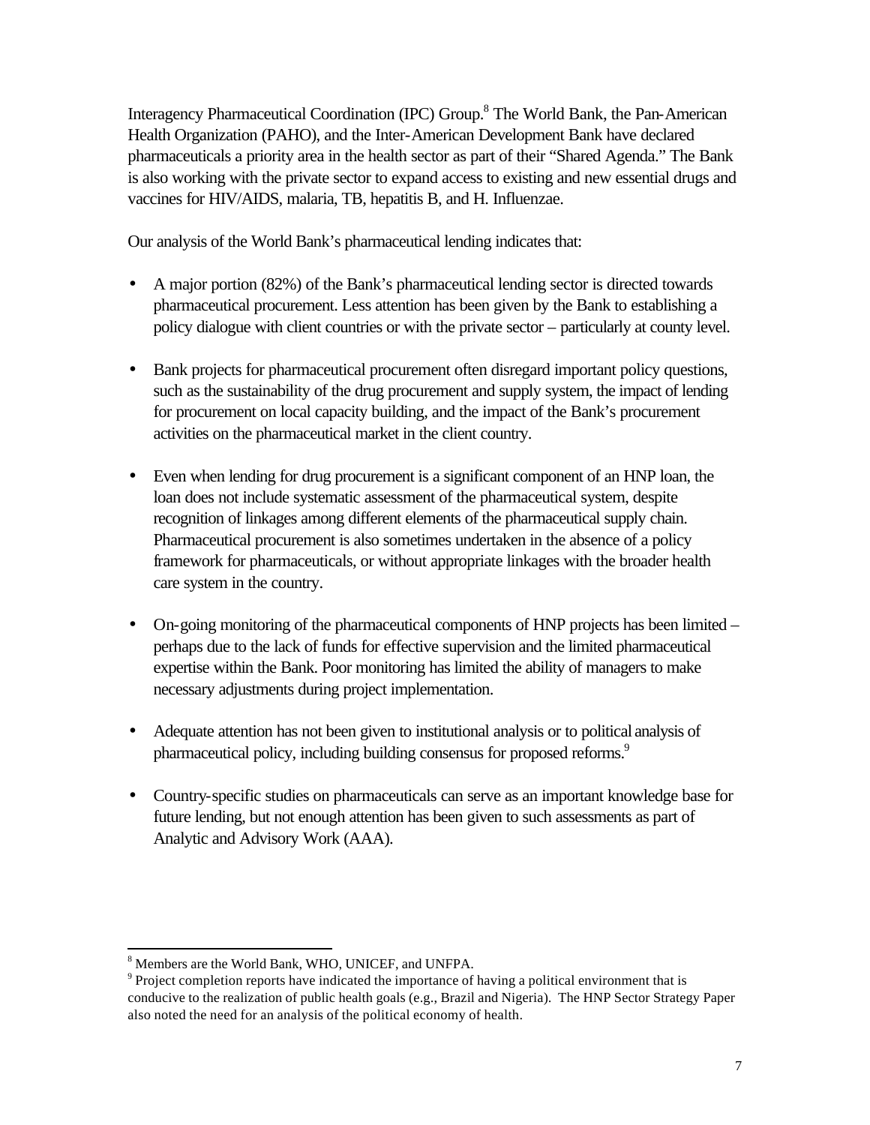Interagency Pharmaceutical Coordination (IPC) Group.<sup>8</sup> The World Bank, the Pan-American Health Organization (PAHO), and the Inter-American Development Bank have declared pharmaceuticals a priority area in the health sector as part of their "Shared Agenda." The Bank is also working with the private sector to expand access to existing and new essential drugs and vaccines for HIV/AIDS, malaria, TB, hepatitis B, and H. Influenzae.

Our analysis of the World Bank's pharmaceutical lending indicates that:

- A major portion (82%) of the Bank's pharmaceutical lending sector is directed towards pharmaceutical procurement. Less attention has been given by the Bank to establishing a policy dialogue with client countries or with the private sector – particularly at county level.
- Bank projects for pharmaceutical procurement often disregard important policy questions, such as the sustainability of the drug procurement and supply system, the impact of lending for procurement on local capacity building, and the impact of the Bank's procurement activities on the pharmaceutical market in the client country.
- Even when lending for drug procurement is a significant component of an HNP loan, the loan does not include systematic assessment of the pharmaceutical system, despite recognition of linkages among different elements of the pharmaceutical supply chain. Pharmaceutical procurement is also sometimes undertaken in the absence of a policy framework for pharmaceuticals, or without appropriate linkages with the broader health care system in the country.
- On-going monitoring of the pharmaceutical components of HNP projects has been limited perhaps due to the lack of funds for effective supervision and the limited pharmaceutical expertise within the Bank. Poor monitoring has limited the ability of managers to make necessary adjustments during project implementation.
- Adequate attention has not been given to institutional analysis or to political analysis of pharmaceutical policy, including building consensus for proposed reforms.<sup>9</sup>
- Country-specific studies on pharmaceuticals can serve as an important knowledge base for future lending, but not enough attention has been given to such assessments as part of Analytic and Advisory Work (AAA).

<sup>8</sup> Members are the World Bank, WHO, UNICEF, and UNFPA.

 $9$  Project completion reports have indicated the importance of having a political environment that is conducive to the realization of public health goals (e.g., Brazil and Nigeria). The HNP Sector Strategy Paper also noted the need for an analysis of the political economy of health.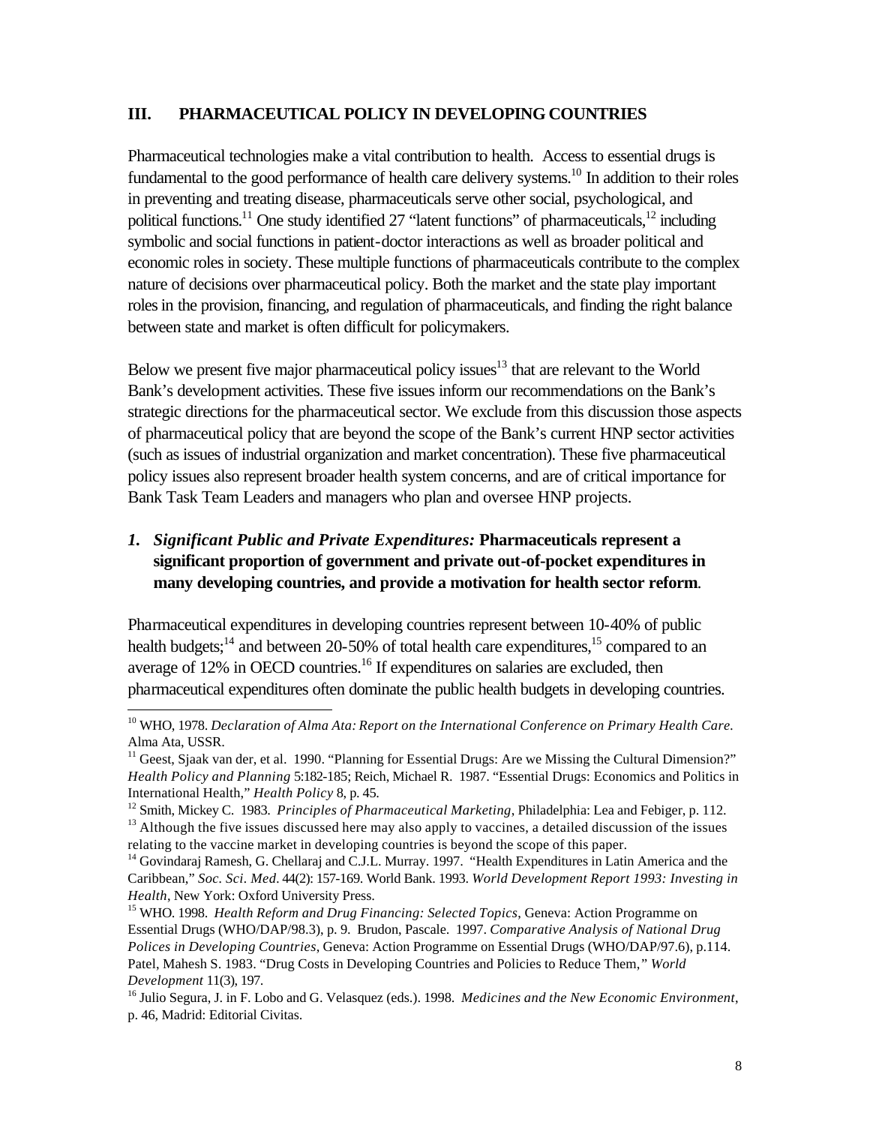#### <span id="page-11-0"></span>**III. PHARMACEUTICAL POLICY IN DEVELOPING COUNTRIES**

Pharmaceutical technologies make a vital contribution to health. Access to essential drugs is fundamental to the good performance of health care delivery systems.<sup>10</sup> In addition to their roles in preventing and treating disease, pharmaceuticals serve other social, psychological, and political functions.<sup>11</sup> One study identified 27 "latent functions" of pharmaceuticals.<sup>12</sup> including symbolic and social functions in patient-doctor interactions as well as broader political and economic roles in society. These multiple functions of pharmaceuticals contribute to the complex nature of decisions over pharmaceutical policy. Both the market and the state play important roles in the provision, financing, and regulation of pharmaceuticals, and finding the right balance between state and market is often difficult for policymakers.

Below we present five major pharmaceutical policy issues $13$  that are relevant to the World Bank's development activities. These five issues inform our recommendations on the Bank's strategic directions for the pharmaceutical sector. We exclude from this discussion those aspects of pharmaceutical policy that are beyond the scope of the Bank's current HNP sector activities (such as issues of industrial organization and market concentration). These five pharmaceutical policy issues also represent broader health system concerns, and are of critical importance for Bank Task Team Leaders and managers who plan and oversee HNP projects.

## *1. Significant Public and Private Expenditures:* **Pharmaceuticals represent a significant proportion of government and private out-of-pocket expenditures in many developing countries, and provide a motivation for health sector reform***.*

Pharmaceutical expenditures in developing countries represent between 10-40% of public health budgets;<sup>14</sup> and between 20-50% of total health care expenditures,<sup>15</sup> compared to an average of  $12\%$  in OECD countries.<sup>16</sup> If expenditures on salaries are excluded, then pharmaceutical expenditures often dominate the public health budgets in developing countries.

<sup>10</sup> WHO, 1978. *Declaration of Alma Ata: Report on the International Conference on Primary Health Care.* Alma Ata, USSR.

 $11$  Geest, Sjaak van der, et al. 1990. "Planning for Essential Drugs: Are we Missing the Cultural Dimension?" *Health Policy and Planning* 5:182-185; Reich, Michael R. 1987. "Essential Drugs: Economics and Politics in International Health," *Health Policy* 8, p. 45.

<sup>&</sup>lt;sup>12</sup> Smith, Mickey C. 1983. *Principles of Pharmaceutical Marketing*, Philadelphia: Lea and Febiger, p. 112.

<sup>&</sup>lt;sup>13</sup> Although the five issues discussed here may also apply to vaccines, a detailed discussion of the issues relating to the vaccine market in developing countries is beyond the scope of this paper.

<sup>&</sup>lt;sup>14</sup> Govindaraj Ramesh, G. Chellaraj and C.J.L. Murray. 1997. "Health Expenditures in Latin America and the Caribbean," *Soc. Sci. Med.* 44(2): 157-169. World Bank. 1993. *World Development Report 1993: Investing in Health*, New York: Oxford University Press.

<sup>&</sup>lt;sup>15</sup> WHO. 1998. *Health Reform and Drug Financing: Selected Topics*, Geneva: Action Programme on Essential Drugs (WHO/DAP/98.3), p. 9. Brudon, Pascale. 1997. *Comparative Analysis of National Drug Polices in Developing Countries*, Geneva: Action Programme on Essential Drugs (WHO/DAP/97.6), p.114. Patel, Mahesh S. 1983. "Drug Costs in Developing Countries and Policies to Reduce Them," *World Development* 11(3), 197.

<sup>16</sup> Julio Segura, J. in F. Lobo and G. Velasquez (eds.). 1998. *Medicines and the New Economic Environment*, p. 46, Madrid: Editorial Civitas.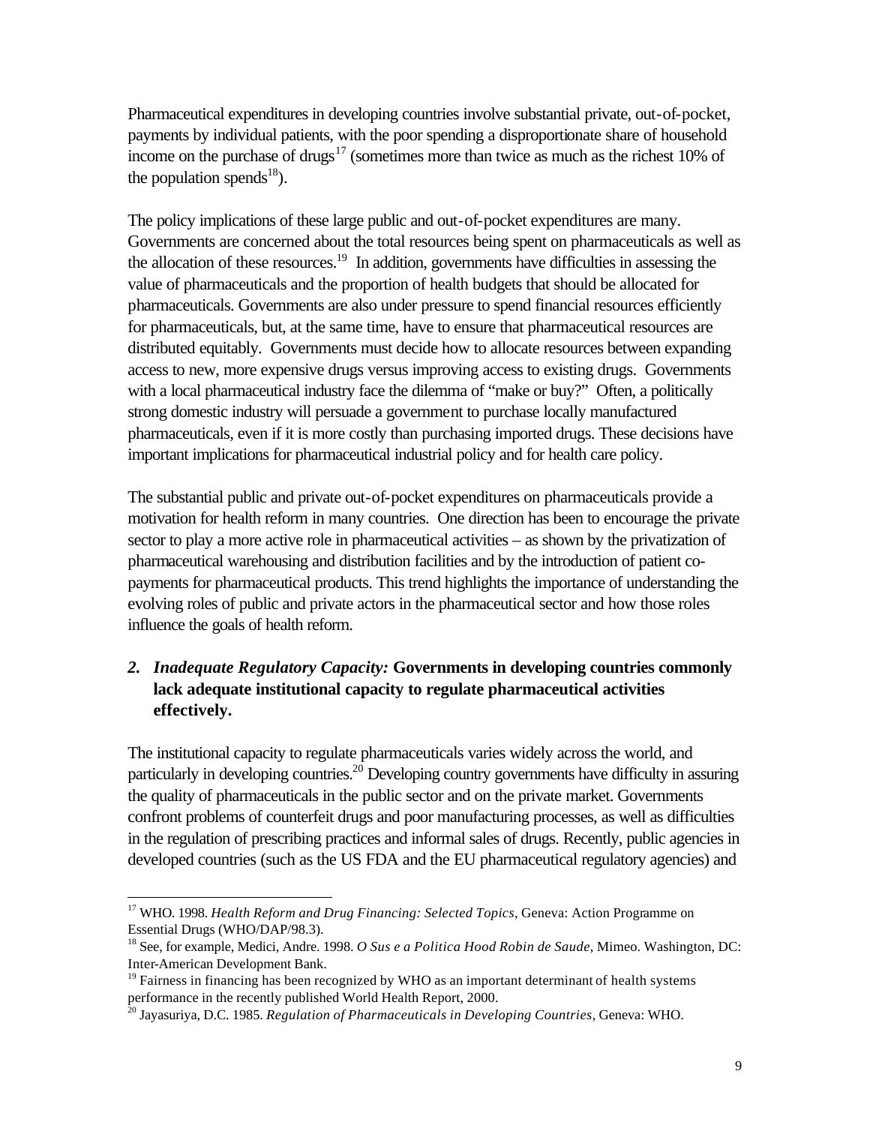<span id="page-12-0"></span>Pharmaceutical expenditures in developing countries involve substantial private, out-of-pocket, payments by individual patients, with the poor spending a disproportionate share of household income on the purchase of drugs<sup>17</sup> (sometimes more than twice as much as the richest 10% of the population spends<sup>18</sup>).

The policy implications of these large public and out-of-pocket expenditures are many. Governments are concerned about the total resources being spent on pharmaceuticals as well as the allocation of these resources.<sup>19</sup> In addition, governments have difficulties in assessing the value of pharmaceuticals and the proportion of health budgets that should be allocated for pharmaceuticals. Governments are also under pressure to spend financial resources efficiently for pharmaceuticals, but, at the same time, have to ensure that pharmaceutical resources are distributed equitably. Governments must decide how to allocate resources between expanding access to new, more expensive drugs versus improving access to existing drugs. Governments with a local pharmaceutical industry face the dilemma of "make or buy?" Often, a politically strong domestic industry will persuade a government to purchase locally manufactured pharmaceuticals, even if it is more costly than purchasing imported drugs. These decisions have important implications for pharmaceutical industrial policy and for health care policy.

The substantial public and private out-of-pocket expenditures on pharmaceuticals provide a motivation for health reform in many countries. One direction has been to encourage the private sector to play a more active role in pharmaceutical activities – as shown by the privatization of pharmaceutical warehousing and distribution facilities and by the introduction of patient copayments for pharmaceutical products. This trend highlights the importance of understanding the evolving roles of public and private actors in the pharmaceutical sector and how those roles influence the goals of health reform.

# *2. Inadequate Regulatory Capacity:* **Governments in developing countries commonly lack adequate institutional capacity to regulate pharmaceutical activities effectively.**

The institutional capacity to regulate pharmaceuticals varies widely across the world, and particularly in developing countries.<sup>20</sup> Developing country governments have difficulty in assuring the quality of pharmaceuticals in the public sector and on the private market. Governments confront problems of counterfeit drugs and poor manufacturing processes, as well as difficulties in the regulation of prescribing practices and informal sales of drugs. Recently, public agencies in developed countries (such as the US FDA and the EU pharmaceutical regulatory agencies) and

<sup>&</sup>lt;sup>17</sup> WHO. 1998. *Health Reform and Drug Financing: Selected Topics*, Geneva: Action Programme on Essential Drugs (WHO/DAP/98.3).

<sup>18</sup> See, for example, Medici, Andre. 1998. *O Sus e a Politica Hood Robin de Saude*, Mimeo. Washington, DC: Inter-American Development Bank.

 $19$  Fairness in financing has been recognized by WHO as an important determinant of health systems performance in the recently published World Health Report, 2000.

<sup>20</sup> Jayasuriya, D.C. 1985. *Regulation of Pharmaceuticals in Developing Countries*, Geneva: WHO.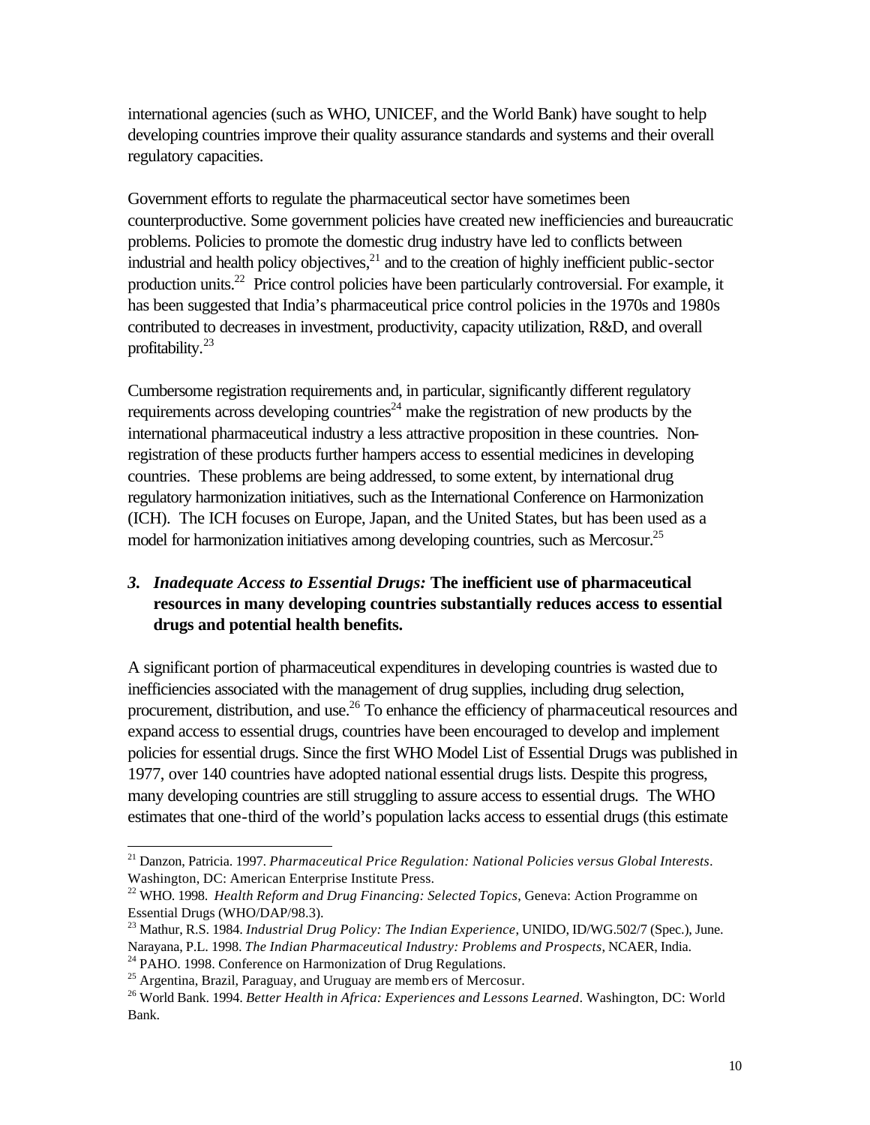<span id="page-13-0"></span>international agencies (such as WHO, UNICEF, and the World Bank) have sought to help developing countries improve their quality assurance standards and systems and their overall regulatory capacities.

Government efforts to regulate the pharmaceutical sector have sometimes been counterproductive. Some government policies have created new inefficiencies and bureaucratic problems. Policies to promote the domestic drug industry have led to conflicts between industrial and health policy objectives, $^{21}$  and to the creation of highly inefficient public-sector production units.<sup>22</sup> Price control policies have been particularly controversial. For example, it has been suggested that India's pharmaceutical price control policies in the 1970s and 1980s contributed to decreases in investment, productivity, capacity utilization, R&D, and overall profitability.<sup>23</sup>

Cumbersome registration requirements and, in particular, significantly different regulatory requirements across developing countries<sup>24</sup> make the registration of new products by the international pharmaceutical industry a less attractive proposition in these countries. Nonregistration of these products further hampers access to essential medicines in developing countries. These problems are being addressed, to some extent, by international drug regulatory harmonization initiatives, such as the International Conference on Harmonization (ICH). The ICH focuses on Europe, Japan, and the United States, but has been used as a model for harmonization initiatives among developing countries, such as Mercosur.<sup>25</sup>

## *3. Inadequate Access to Essential Drugs:* **The inefficient use of pharmaceutical resources in many developing countries substantially reduces access to essential drugs and potential health benefits.**

A significant portion of pharmaceutical expenditures in developing countries is wasted due to inefficiencies associated with the management of drug supplies, including drug selection, procurement, distribution, and use.<sup>26</sup> To enhance the efficiency of pharmaceutical resources and expand access to essential drugs, countries have been encouraged to develop and implement policies for essential drugs. Since the first WHO Model List of Essential Drugs was published in 1977, over 140 countries have adopted national essential drugs lists. Despite this progress, many developing countries are still struggling to assure access to essential drugs. The WHO estimates that one-third of the world's population lacks access to essential drugs (this estimate

<sup>21</sup> Danzon, Patricia. 1997. *Pharmaceutical Price Regulation: National Policies versus Global Interests*. Washington, DC: American Enterprise Institute Press.

<sup>22</sup> WHO. 1998. *Health Reform and Drug Financing: Selected Topics*, Geneva: Action Programme on Essential Drugs (WHO/DAP/98.3).

<sup>&</sup>lt;sup>23</sup> Mathur, R.S. 1984. *Industrial Drug Policy: The Indian Experience*, UNIDO, ID/WG.502/7 (Spec.), June. Narayana, P.L. 1998. *The Indian Pharmaceutical Industry: Problems and Prospects*, NCAER, India. <sup>24</sup> PAHO. 1998. Conference on Harmonization of Drug Regulations.

<sup>&</sup>lt;sup>25</sup> Argentina, Brazil, Paraguay, and Uruguay are memb ers of Mercosur.

<sup>26</sup> World Bank. 1994. *Better Health in Africa: Experiences and Lessons Learned*. Washington, DC: World Bank.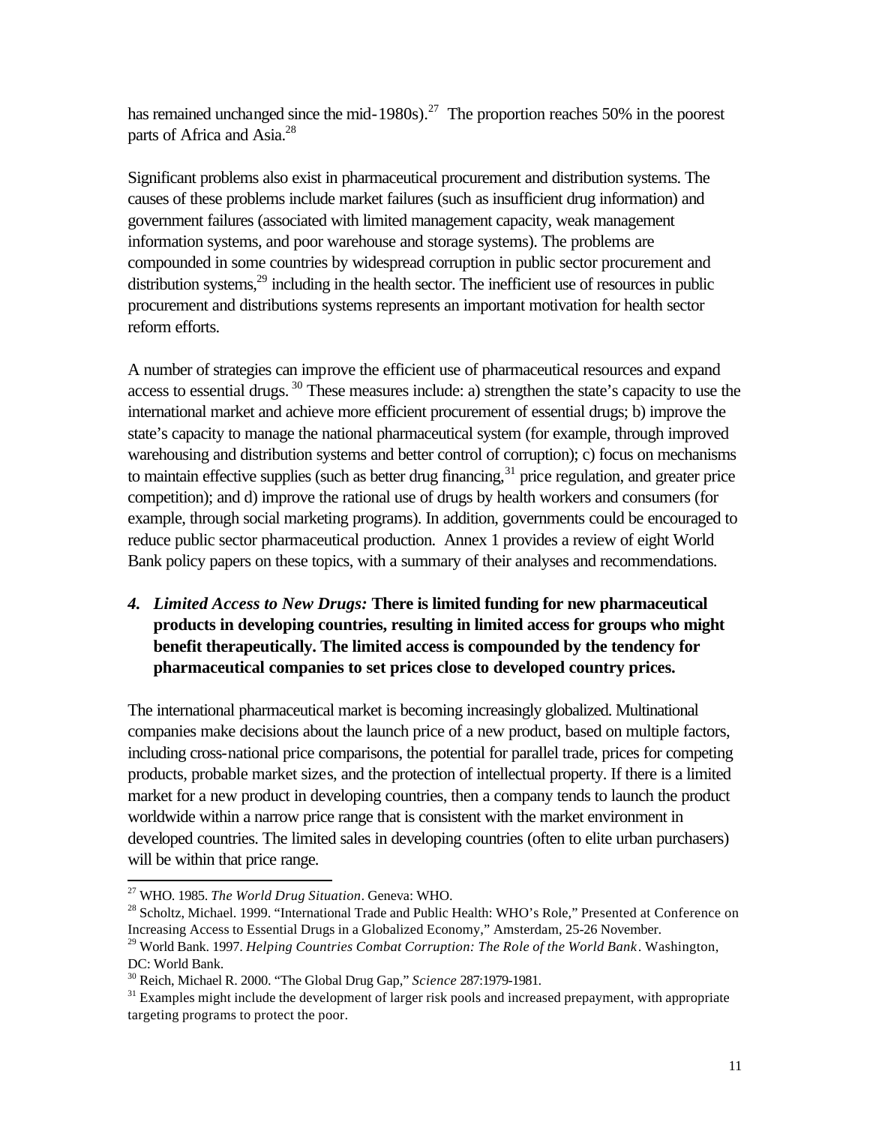<span id="page-14-0"></span>has remained unchanged since the mid-1980s).<sup>27</sup> The proportion reaches 50% in the poorest parts of Africa and Asia.<sup>28</sup>

Significant problems also exist in pharmaceutical procurement and distribution systems. The causes of these problems include market failures (such as insufficient drug information) and government failures (associated with limited management capacity, weak management information systems, and poor warehouse and storage systems). The problems are compounded in some countries by widespread corruption in public sector procurement and distribution systems, $^{29}$  including in the health sector. The inefficient use of resources in public procurement and distributions systems represents an important motivation for health sector reform efforts.

A number of strategies can improve the efficient use of pharmaceutical resources and expand access to essential drugs.<sup>30</sup> These measures include: a) strengthen the state's capacity to use the international market and achieve more efficient procurement of essential drugs; b) improve the state's capacity to manage the national pharmaceutical system (for example, through improved warehousing and distribution systems and better control of corruption); c) focus on mechanisms to maintain effective supplies (such as better drug financing,  $31$  price regulation, and greater price competition); and d) improve the rational use of drugs by health workers and consumers (for example, through social marketing programs). In addition, governments could be encouraged to reduce public sector pharmaceutical production. Annex 1 provides a review of eight World Bank policy papers on these topics, with a summary of their analyses and recommendations.

## *4. Limited Access to New Drugs:* **There is limited funding for new pharmaceutical products in developing countries, resulting in limited access for groups who might benefit therapeutically. The limited access is compounded by the tendency for pharmaceutical companies to set prices close to developed country prices.**

The international pharmaceutical market is becoming increasingly globalized. Multinational companies make decisions about the launch price of a new product, based on multiple factors, including cross-national price comparisons, the potential for parallel trade, prices for competing products, probable market sizes, and the protection of intellectual property. If there is a limited market for a new product in developing countries, then a company tends to launch the product worldwide within a narrow price range that is consistent with the market environment in developed countries. The limited sales in developing countries (often to elite urban purchasers) will be within that price range.

<sup>27</sup> WHO. 1985. *The World Drug Situation*. Geneva: WHO.

<sup>&</sup>lt;sup>28</sup> Scholtz, Michael. 1999. "International Trade and Public Health: WHO's Role," Presented at Conference on Increasing Access to Essential Drugs in a Globalized Economy," Amsterdam, 25-26 November.

<sup>29</sup> World Bank. 1997. *Helping Countries Combat Corruption: The Role of the World Bank*. Washington, DC: World Bank.

<sup>30</sup> Reich, Michael R. 2000. "The Global Drug Gap," *Science* 287:1979-1981.

<sup>&</sup>lt;sup>31</sup> Examples might include the development of larger risk pools and increased prepayment, with appropriate targeting programs to protect the poor.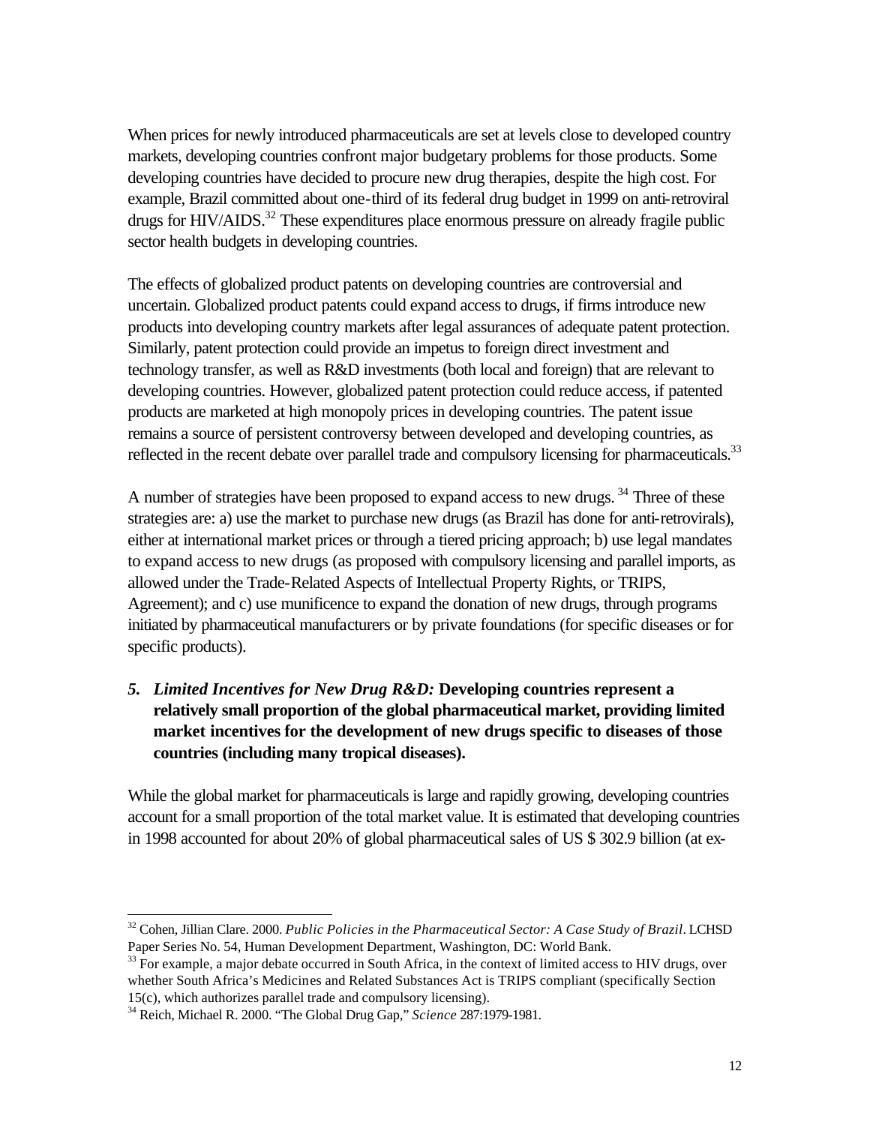<span id="page-15-0"></span>When prices for newly introduced pharmaceuticals are set at levels close to developed country markets, developing countries confront major budgetary problems for those products. Some developing countries have decided to procure new drug therapies, despite the high cost. For example, Brazil committed about one-third of its federal drug budget in 1999 on anti-retroviral drugs for  $H\text{IV}/\text{AIDS}$ .<sup>32</sup> These expenditures place enormous pressure on already fragile public sector health budgets in developing countries.

The effects of globalized product patents on developing countries are controversial and uncertain. Globalized product patents could expand access to drugs, if firms introduce new products into developing country markets after legal assurances of adequate patent protection. Similarly, patent protection could provide an impetus to foreign direct investment and technology transfer, as well as R&D investments (both local and foreign) that are relevant to developing countries. However, globalized patent protection could reduce access, if patented products are marketed at high monopoly prices in developing countries. The patent issue remains a source of persistent controversy between developed and developing countries, as reflected in the recent debate over parallel trade and compulsory licensing for pharmaceuticals.<sup>33</sup>

A number of strategies have been proposed to expand access to new drugs.<sup>34</sup> Three of these strategies are: a) use the market to purchase new drugs (as Brazil has done for anti-retrovirals), either at international market prices or through a tiered pricing approach; b) use legal mandates to expand access to new drugs (as proposed with compulsory licensing and parallel imports, as allowed under the Trade-Related Aspects of Intellectual Property Rights, or TRIPS, Agreement); and c) use munificence to expand the donation of new drugs, through programs initiated by pharmaceutical manufacturers or by private foundations (for specific diseases or for specific products).

*5. Limited Incentives for New Drug R&D:* **Developing countries represent a relatively small proportion of the global pharmaceutical market, providing limited market incentives for the development of new drugs specific to diseases of those countries (including many tropical diseases).**

While the global market for pharmaceuticals is large and rapidly growing, developing countries account for a small proportion of the total market value. It is estimated that developing countries in 1998 accounted for about 20% of global pharmaceutical sales of US \$ 302.9 billion (at ex-

<sup>32</sup> Cohen, Jillian Clare. 2000. *Public Policies in the Pharmaceutical Sector: A Case Study of Brazil*. LCHSD Paper Series No. 54, Human Development Department, Washington, DC: World Bank.

 $33$  For example, a major debate occurred in South Africa, in the context of limited access to HIV drugs, over whether South Africa's Medicines and Related Substances Act is TRIPS compliant (specifically Section 15(c), which authorizes parallel trade and compulsory licensing).

<sup>34</sup> Reich, Michael R. 2000. "The Global Drug Gap," *Science* 287:1979-1981.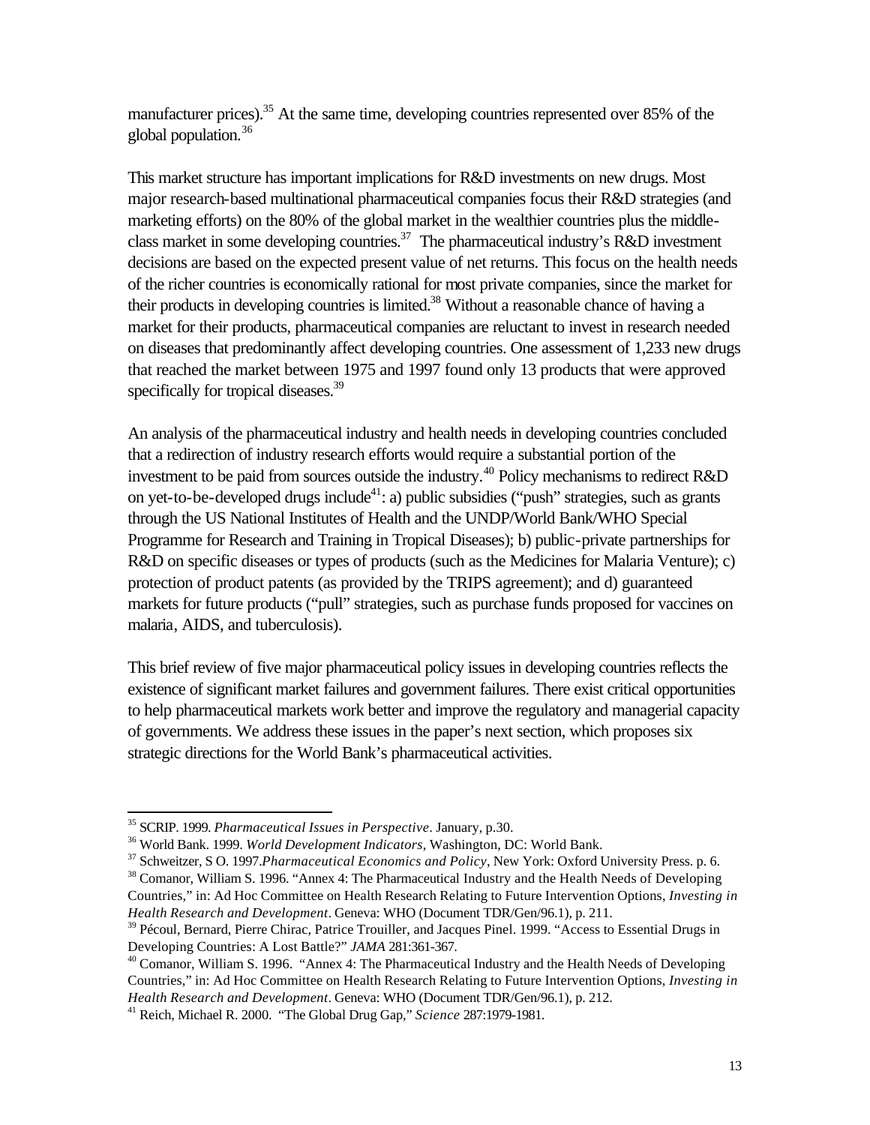manufacturer prices).<sup>35</sup> At the same time, developing countries represented over 85% of the global population.<sup>36</sup>

This market structure has important implications for R&D investments on new drugs. Most major research-based multinational pharmaceutical companies focus their R&D strategies (and marketing efforts) on the 80% of the global market in the wealthier countries plus the middleclass market in some developing countries.<sup>37</sup> The pharmaceutical industry's R&D investment decisions are based on the expected present value of net returns. This focus on the health needs of the richer countries is economically rational for most private companies, since the market for their products in developing countries is limited.<sup>38</sup> Without a reasonable chance of having a market for their products, pharmaceutical companies are reluctant to invest in research needed on diseases that predominantly affect developing countries. One assessment of 1,233 new drugs that reached the market between 1975 and 1997 found only 13 products that were approved specifically for tropical diseases.<sup>39</sup>

An analysis of the pharmaceutical industry and health needs in developing countries concluded that a redirection of industry research efforts would require a substantial portion of the investment to be paid from sources outside the industry.<sup>40</sup> Policy mechanisms to redirect R&D on yet-to-be-developed drugs include<sup>41</sup>: a) public subsidies ("push" strategies, such as grants through the US National Institutes of Health and the UNDP/World Bank/WHO Special Programme for Research and Training in Tropical Diseases); b) public-private partnerships for R&D on specific diseases or types of products (such as the Medicines for Malaria Venture); c) protection of product patents (as provided by the TRIPS agreement); and d) guaranteed markets for future products ("pull" strategies, such as purchase funds proposed for vaccines on malaria, AIDS, and tuberculosis).

This brief review of five major pharmaceutical policy issues in developing countries reflects the existence of significant market failures and government failures. There exist critical opportunities to help pharmaceutical markets work better and improve the regulatory and managerial capacity of governments. We address these issues in the paper's next section, which proposes six strategic directions for the World Bank's pharmaceutical activities.

<sup>35</sup> SCRIP. 1999. *Pharmaceutical Issues in Perspective*. January, p.30.

<sup>36</sup> World Bank. 1999. *World Development Indicators*, Washington, DC: World Bank.

<sup>37</sup> Schweitzer, S O. 1997.*Pharmaceutical Economics and Policy*, New York: Oxford University Press. p. 6.

<sup>&</sup>lt;sup>38</sup> Comanor, William S. 1996. "Annex 4: The Pharmaceutical Industry and the Health Needs of Developing Countries," in: Ad Hoc Committee on Health Research Relating to Future Intervention Options, *Investing in Health Research and Development*. Geneva: WHO (Document TDR/Gen/96.1), p. 211.

<sup>&</sup>lt;sup>39</sup> Pécoul, Bernard, Pierre Chirac, Patrice Trouiller, and Jacques Pinel. 1999. "Access to Essential Drugs in Developing Countries: A Lost Battle?" *JAMA* 281:361-367.

 $40$  Comanor, William S. 1996. "Annex 4: The Pharmaceutical Industry and the Health Needs of Developing Countries," in: Ad Hoc Committee on Health Research Relating to Future Intervention Options, *Investing in Health Research and Development*. Geneva: WHO (Document TDR/Gen/96.1), p. 212.

<sup>41</sup> Reich, Michael R. 2000. "The Global Drug Gap," *Science* 287:1979-1981.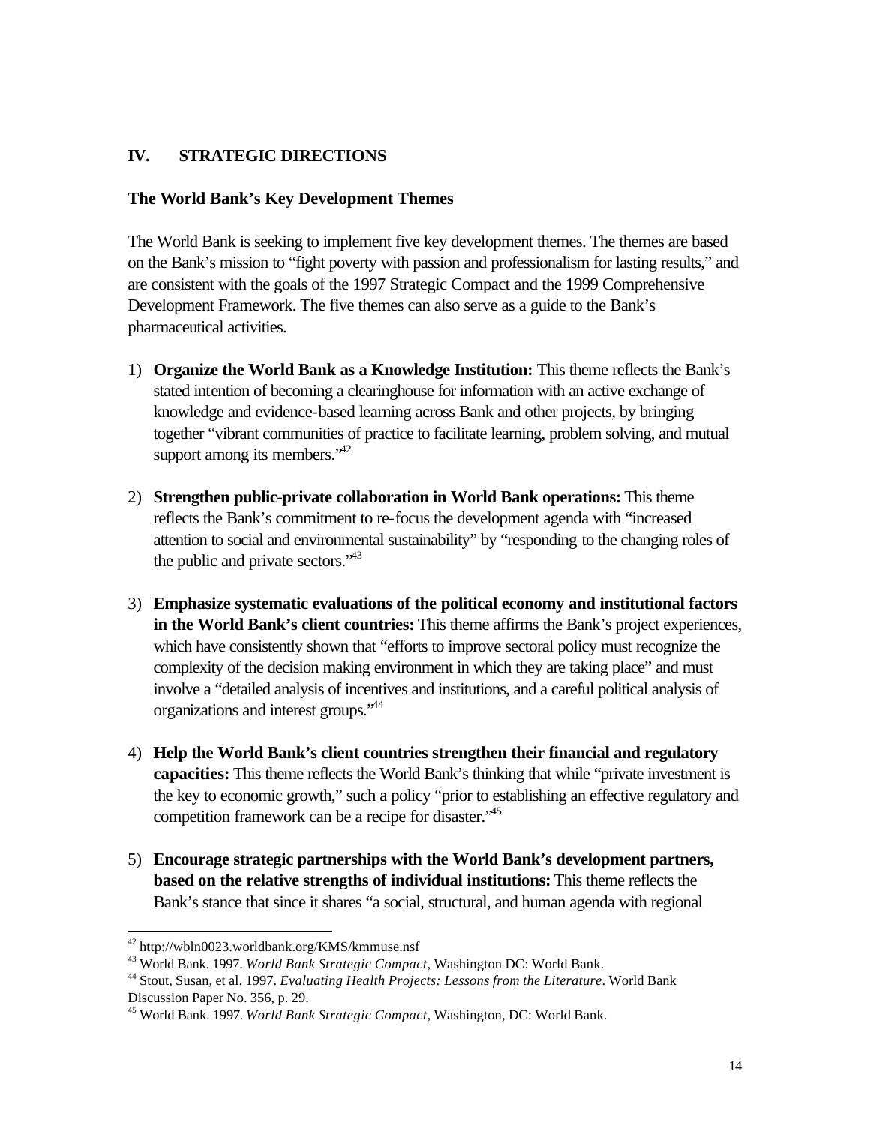# <span id="page-17-0"></span>**IV. STRATEGIC DIRECTIONS**

### **The World Bank's Key Development Themes**

The World Bank is seeking to implement five key development themes. The themes are based on the Bank's mission to "fight poverty with passion and professionalism for lasting results," and are consistent with the goals of the 1997 Strategic Compact and the 1999 Comprehensive Development Framework. The five themes can also serve as a guide to the Bank's pharmaceutical activities.

- 1) **Organize the World Bank as a Knowledge Institution:** This theme reflects the Bank's stated intention of becoming a clearinghouse for information with an active exchange of knowledge and evidence-based learning across Bank and other projects, by bringing together "vibrant communities of practice to facilitate learning, problem solving, and mutual support among its members. $142$
- 2) **Strengthen public-private collaboration in World Bank operations:** This theme reflects the Bank's commitment to re-focus the development agenda with "increased attention to social and environmental sustainability" by "responding to the changing roles of the public and private sectors.<sup>343</sup>
- 3) **Emphasize systematic evaluations of the political economy and institutional factors in the World Bank's client countries:** This theme affirms the Bank's project experiences, which have consistently shown that "efforts to improve sectoral policy must recognize the complexity of the decision making environment in which they are taking place" and must involve a "detailed analysis of incentives and institutions, and a careful political analysis of organizations and interest groups."<sup>44</sup>
- 4) **Help the World Bank's client countries strengthen their financial and regulatory capacities:** This theme reflects the World Bank's thinking that while "private investment is the key to economic growth," such a policy "prior to establishing an effective regulatory and competition framework can be a recipe for disaster.<sup>45</sup>
- 5) **Encourage strategic partnerships with the World Bank's development partners, based on the relative strengths of individual institutions:** This theme reflects the Bank's stance that since it shares "a social, structural, and human agenda with regional

<sup>&</sup>lt;sup>42</sup> http://wbln0023.worldbank.org/KMS/kmmuse.nsf

<sup>43</sup> World Bank. 1997. *World Bank Strategic Compact*, Washington DC: World Bank.

<sup>44</sup> Stout, Susan, et al. 1997. *Evaluating Health Projects: Lessons from the Literature*. World Bank Discussion Paper No. 356, p. 29.

<sup>45</sup> World Bank. 1997. *World Bank Strategic Compact*, Washington, DC: World Bank.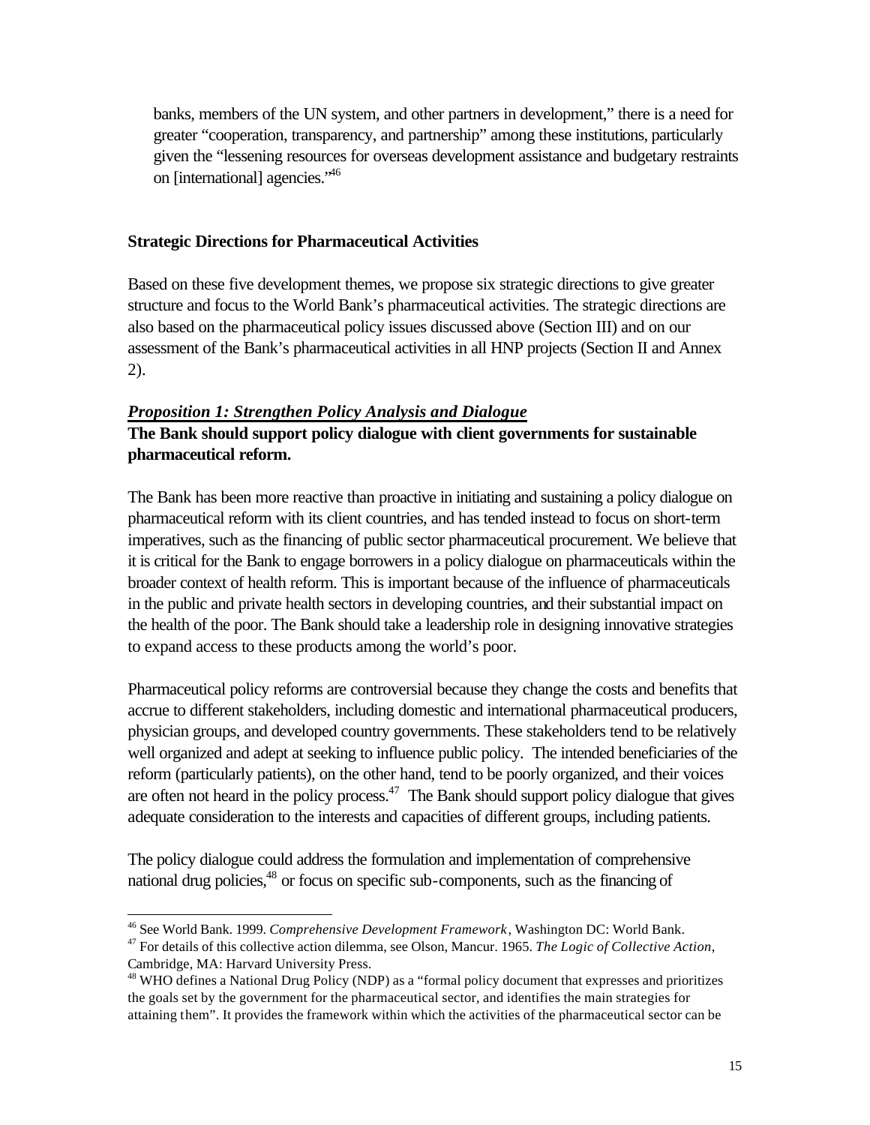<span id="page-18-0"></span>banks, members of the UN system, and other partners in development," there is a need for greater "cooperation, transparency, and partnership" among these institutions, particularly given the "lessening resources for overseas development assistance and budgetary restraints on [international] agencies."<sup>46</sup>

#### **Strategic Directions for Pharmaceutical Activities**

Based on these five development themes, we propose six strategic directions to give greater structure and focus to the World Bank's pharmaceutical activities. The strategic directions are also based on the pharmaceutical policy issues discussed above (Section III) and on our assessment of the Bank's pharmaceutical activities in all HNP projects (Section II and Annex 2).

#### *Proposition 1: Strengthen Policy Analysis and Dialogue*

## **The Bank should support policy dialogue with client governments for sustainable pharmaceutical reform.**

The Bank has been more reactive than proactive in initiating and sustaining a policy dialogue on pharmaceutical reform with its client countries, and has tended instead to focus on short-term imperatives, such as the financing of public sector pharmaceutical procurement. We believe that it is critical for the Bank to engage borrowers in a policy dialogue on pharmaceuticals within the broader context of health reform. This is important because of the influence of pharmaceuticals in the public and private health sectors in developing countries, and their substantial impact on the health of the poor. The Bank should take a leadership role in designing innovative strategies to expand access to these products among the world's poor.

Pharmaceutical policy reforms are controversial because they change the costs and benefits that accrue to different stakeholders, including domestic and international pharmaceutical producers, physician groups, and developed country governments. These stakeholders tend to be relatively well organized and adept at seeking to influence public policy. The intended beneficiaries of the reform (particularly patients), on the other hand, tend to be poorly organized, and their voices are often not heard in the policy process. $47$  The Bank should support policy dialogue that gives adequate consideration to the interests and capacities of different groups, including patients.

The policy dialogue could address the formulation and implementation of comprehensive national drug policies,<sup>48</sup> or focus on specific sub-components, such as the financing of

<sup>46</sup> See World Bank. 1999. *Comprehensive Development Framework*, Washington DC: World Bank.

<sup>47</sup> For details of this collective action dilemma, see Olson, Mancur. 1965. *The Logic of Collective Action*, Cambridge, MA: Harvard University Press.

<sup>&</sup>lt;sup>48</sup> WHO defines a National Drug Policy (NDP) as a "formal policy document that expresses and prioritizes the goals set by the government for the pharmaceutical sector, and identifies the main strategies for attaining them". It provides the framework within which the activities of the pharmaceutical sector can be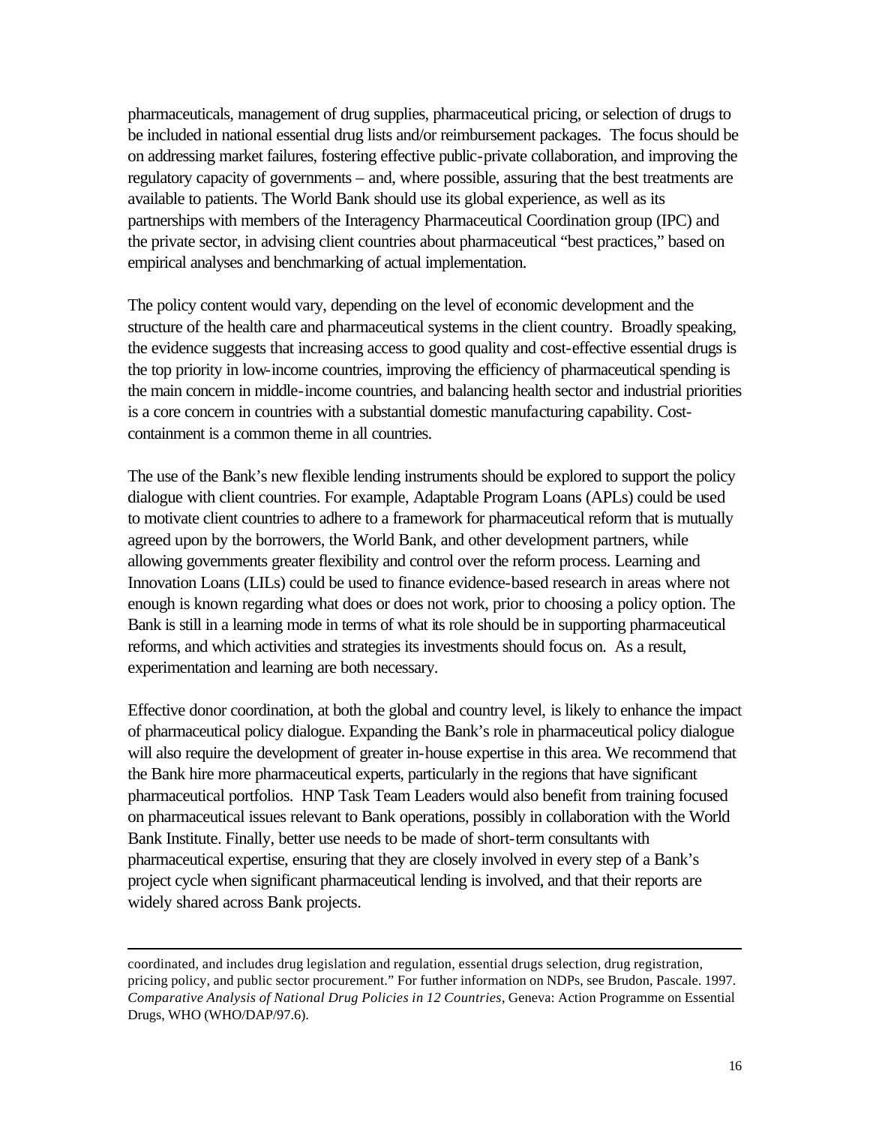pharmaceuticals, management of drug supplies, pharmaceutical pricing, or selection of drugs to be included in national essential drug lists and/or reimbursement packages. The focus should be on addressing market failures, fostering effective public-private collaboration, and improving the regulatory capacity of governments – and, where possible, assuring that the best treatments are available to patients. The World Bank should use its global experience, as well as its partnerships with members of the Interagency Pharmaceutical Coordination group (IPC) and the private sector, in advising client countries about pharmaceutical "best practices," based on empirical analyses and benchmarking of actual implementation.

The policy content would vary, depending on the level of economic development and the structure of the health care and pharmaceutical systems in the client country. Broadly speaking, the evidence suggests that increasing access to good quality and cost-effective essential drugs is the top priority in low-income countries, improving the efficiency of pharmaceutical spending is the main concern in middle-income countries, and balancing health sector and industrial priorities is a core concern in countries with a substantial domestic manufacturing capability. Costcontainment is a common theme in all countries.

The use of the Bank's new flexible lending instruments should be explored to support the policy dialogue with client countries. For example, Adaptable Program Loans (APLs) could be used to motivate client countries to adhere to a framework for pharmaceutical reform that is mutually agreed upon by the borrowers, the World Bank, and other development partners, while allowing governments greater flexibility and control over the reform process. Learning and Innovation Loans (LILs) could be used to finance evidence-based research in areas where not enough is known regarding what does or does not work, prior to choosing a policy option. The Bank is still in a learning mode in terms of what its role should be in supporting pharmaceutical reforms, and which activities and strategies its investments should focus on. As a result, experimentation and learning are both necessary.

Effective donor coordination, at both the global and country level, is likely to enhance the impact of pharmaceutical policy dialogue. Expanding the Bank's role in pharmaceutical policy dialogue will also require the development of greater in-house expertise in this area. We recommend that the Bank hire more pharmaceutical experts, particularly in the regions that have significant pharmaceutical portfolios. HNP Task Team Leaders would also benefit from training focused on pharmaceutical issues relevant to Bank operations, possibly in collaboration with the World Bank Institute. Finally, better use needs to be made of short-term consultants with pharmaceutical expertise, ensuring that they are closely involved in every step of a Bank's project cycle when significant pharmaceutical lending is involved, and that their reports are widely shared across Bank projects.

coordinated, and includes drug legislation and regulation, essential drugs selection, drug registration, pricing policy, and public sector procurement." For further information on NDPs, see Brudon, Pascale. 1997. *Comparative Analysis of National Drug Policies in 12 Countries*, Geneva: Action Programme on Essential Drugs, WHO (WHO/DAP/97.6).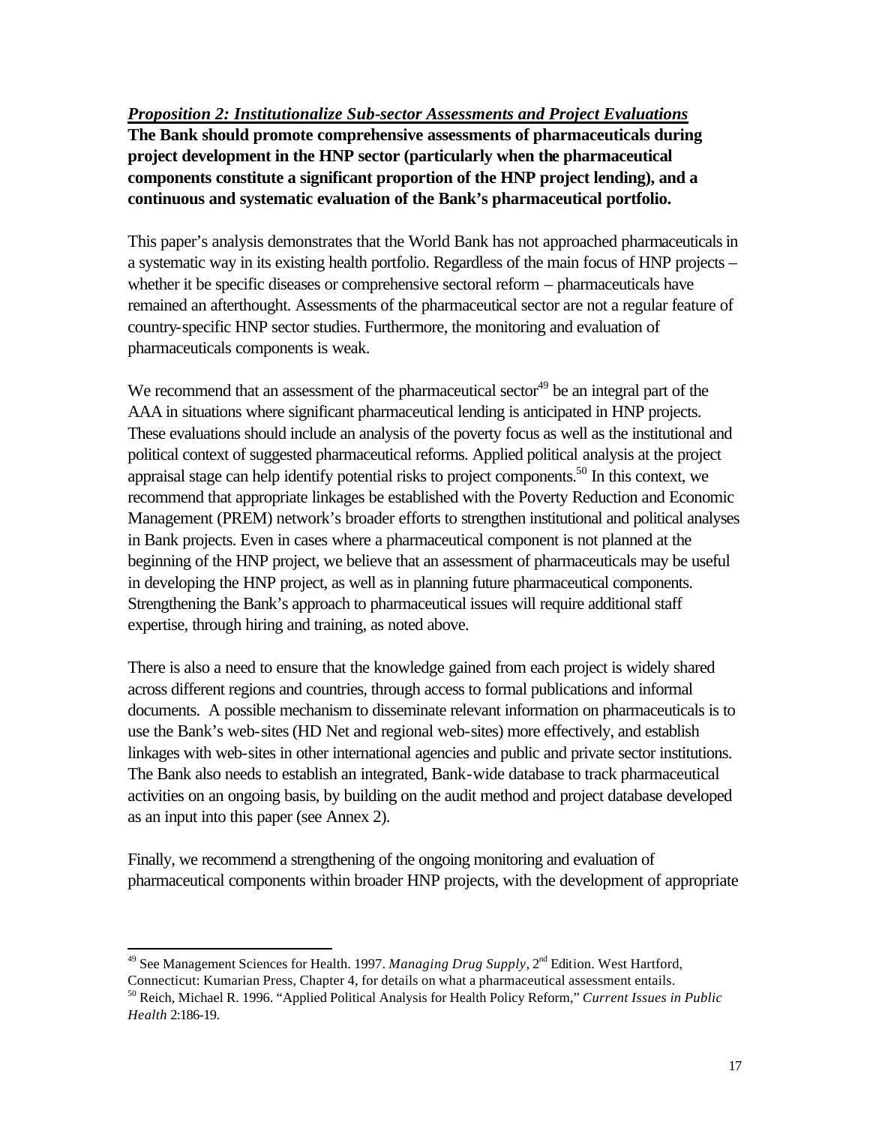### <span id="page-20-0"></span>*Proposition 2: Institutionalize Sub-sector Assessments and Project Evaluations*

**The Bank should promote comprehensive assessments of pharmaceuticals during project development in the HNP sector (particularly when the pharmaceutical components constitute a significant proportion of the HNP project lending), and a continuous and systematic evaluation of the Bank's pharmaceutical portfolio.**

This paper's analysis demonstrates that the World Bank has not approached pharmaceuticals in a systematic way in its existing health portfolio. Regardless of the main focus of HNP projects – whether it be specific diseases or comprehensive sectoral reform – pharmaceuticals have remained an afterthought. Assessments of the pharmaceutical sector are not a regular feature of country-specific HNP sector studies. Furthermore, the monitoring and evaluation of pharmaceuticals components is weak.

We recommend that an assessment of the pharmaceutical sector<sup>49</sup> be an integral part of the AAA in situations where significant pharmaceutical lending is anticipated in HNP projects. These evaluations should include an analysis of the poverty focus as well as the institutional and political context of suggested pharmaceutical reforms. Applied political analysis at the project appraisal stage can help identify potential risks to project components.<sup>50</sup> In this context, we recommend that appropriate linkages be established with the Poverty Reduction and Economic Management (PREM) network's broader efforts to strengthen institutional and political analyses in Bank projects. Even in cases where a pharmaceutical component is not planned at the beginning of the HNP project, we believe that an assessment of pharmaceuticals may be useful in developing the HNP project, as well as in planning future pharmaceutical components. Strengthening the Bank's approach to pharmaceutical issues will require additional staff expertise, through hiring and training, as noted above.

There is also a need to ensure that the knowledge gained from each project is widely shared across different regions and countries, through access to formal publications and informal documents. A possible mechanism to disseminate relevant information on pharmaceuticals is to use the Bank's web-sites (HD Net and regional web-sites) more effectively, and establish linkages with web-sites in other international agencies and public and private sector institutions. The Bank also needs to establish an integrated, Bank-wide database to track pharmaceutical activities on an ongoing basis, by building on the audit method and project database developed as an input into this paper (see Annex 2).

Finally, we recommend a strengthening of the ongoing monitoring and evaluation of pharmaceutical components within broader HNP projects, with the development of appropriate

<sup>&</sup>lt;sup>49</sup> See Management Sciences for Health. 1997. *Managing Drug Supply*, 2<sup>nd</sup> Edition. West Hartford,

Connecticut: Kumarian Press, Chapter 4, for details on what a pharmaceutical assessment entails.

<sup>50</sup> Reich, Michael R. 1996. "Applied Political Analysis for Health Policy Reform," *Current Issues in Public Health* 2:186-19.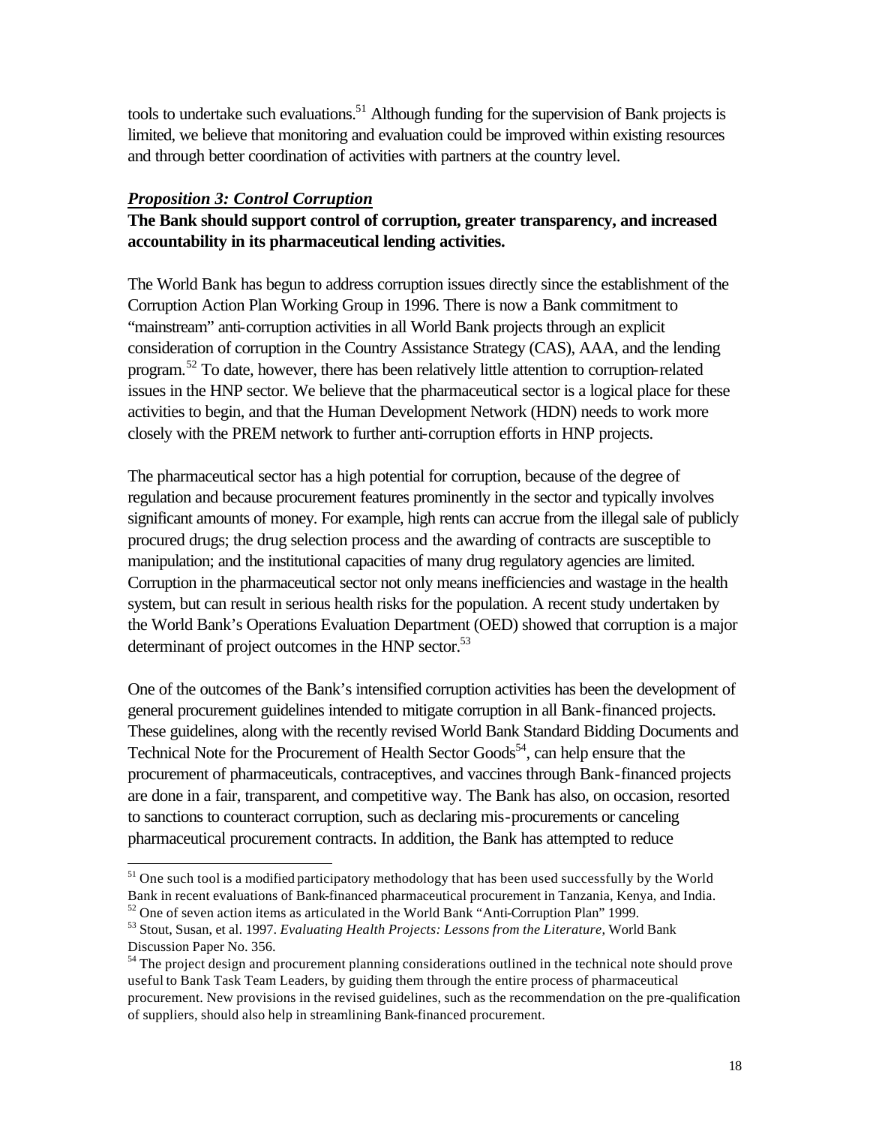<span id="page-21-0"></span>tools to undertake such evaluations.<sup>51</sup> Although funding for the supervision of Bank projects is limited, we believe that monitoring and evaluation could be improved within existing resources and through better coordination of activities with partners at the country level.

### *Proposition 3: Control Corruption*

l

## **The Bank should support control of corruption, greater transparency, and increased accountability in its pharmaceutical lending activities.**

The World Bank has begun to address corruption issues directly since the establishment of the Corruption Action Plan Working Group in 1996. There is now a Bank commitment to "mainstream" anti-corruption activities in all World Bank projects through an explicit consideration of corruption in the Country Assistance Strategy (CAS), AAA, and the lending program.<sup>52</sup> To date, however, there has been relatively little attention to corruption-related issues in the HNP sector. We believe that the pharmaceutical sector is a logical place for these activities to begin, and that the Human Development Network (HDN) needs to work more closely with the PREM network to further anti-corruption efforts in HNP projects.

The pharmaceutical sector has a high potential for corruption, because of the degree of regulation and because procurement features prominently in the sector and typically involves significant amounts of money. For example, high rents can accrue from the illegal sale of publicly procured drugs; the drug selection process and the awarding of contracts are susceptible to manipulation; and the institutional capacities of many drug regulatory agencies are limited. Corruption in the pharmaceutical sector not only means inefficiencies and wastage in the health system, but can result in serious health risks for the population. A recent study undertaken by the World Bank's Operations Evaluation Department (OED) showed that corruption is a major determinant of project outcomes in the HNP sector.<sup>53</sup>

One of the outcomes of the Bank's intensified corruption activities has been the development of general procurement guidelines intended to mitigate corruption in all Bank-financed projects. These guidelines, along with the recently revised World Bank Standard Bidding Documents and Technical Note for the Procurement of Health Sector Goods<sup>54</sup>, can help ensure that the procurement of pharmaceuticals, contraceptives, and vaccines through Bank-financed projects are done in a fair, transparent, and competitive way. The Bank has also, on occasion, resorted to sanctions to counteract corruption, such as declaring mis-procurements or canceling pharmaceutical procurement contracts. In addition, the Bank has attempted to reduce

 $51$  One such tool is a modified participatory methodology that has been used successfully by the World Bank in recent evaluations of Bank-financed pharmaceutical procurement in Tanzania, Kenya, and India.

 $52$  One of seven action items as articulated in the World Bank "Anti-Corruption Plan" 1999.

<sup>53</sup> Stout, Susan, et al. 1997. *Evaluating Health Projects: Lessons from the Literature*, World Bank Discussion Paper No. 356.

<sup>&</sup>lt;sup>54</sup> The project design and procurement planning considerations outlined in the technical note should prove useful to Bank Task Team Leaders, by guiding them through the entire process of pharmaceutical procurement. New provisions in the revised guidelines, such as the recommendation on the pre-qualification of suppliers, should also help in streamlining Bank-financed procurement.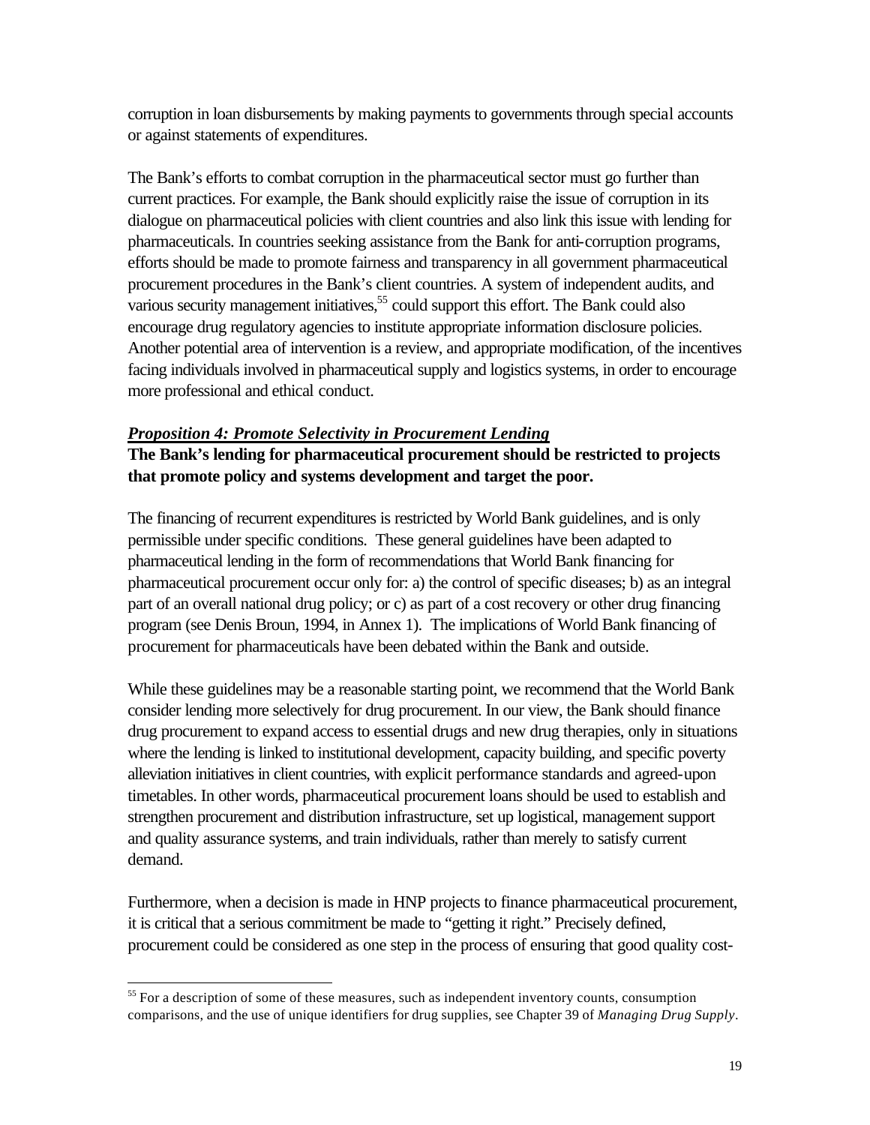<span id="page-22-0"></span>corruption in loan disbursements by making payments to governments through special accounts or against statements of expenditures.

The Bank's efforts to combat corruption in the pharmaceutical sector must go further than current practices. For example, the Bank should explicitly raise the issue of corruption in its dialogue on pharmaceutical policies with client countries and also link this issue with lending for pharmaceuticals. In countries seeking assistance from the Bank for anti-corruption programs, efforts should be made to promote fairness and transparency in all government pharmaceutical procurement procedures in the Bank's client countries. A system of independent audits, and various security management initiatives,  $55$  could support this effort. The Bank could also encourage drug regulatory agencies to institute appropriate information disclosure policies. Another potential area of intervention is a review, and appropriate modification, of the incentives facing individuals involved in pharmaceutical supply and logistics systems, in order to encourage more professional and ethical conduct.

### *Proposition 4: Promote Selectivity in Procurement Lending*

## **The Bank's lending for pharmaceutical procurement should be restricted to projects that promote policy and systems development and target the poor.**

The financing of recurrent expenditures is restricted by World Bank guidelines, and is only permissible under specific conditions. These general guidelines have been adapted to pharmaceutical lending in the form of recommendations that World Bank financing for pharmaceutical procurement occur only for: a) the control of specific diseases; b) as an integral part of an overall national drug policy; or c) as part of a cost recovery or other drug financing program (see Denis Broun, 1994, in Annex 1). The implications of World Bank financing of procurement for pharmaceuticals have been debated within the Bank and outside.

While these guidelines may be a reasonable starting point, we recommend that the World Bank consider lending more selectively for drug procurement. In our view, the Bank should finance drug procurement to expand access to essential drugs and new drug therapies, only in situations where the lending is linked to institutional development, capacity building, and specific poverty alleviation initiatives in client countries, with explicit performance standards and agreed-upon timetables. In other words, pharmaceutical procurement loans should be used to establish and strengthen procurement and distribution infrastructure, set up logistical, management support and quality assurance systems, and train individuals, rather than merely to satisfy current demand.

Furthermore, when a decision is made in HNP projects to finance pharmaceutical procurement, it is critical that a serious commitment be made to "getting it right." Precisely defined, procurement could be considered as one step in the process of ensuring that good quality cost-

 $<sup>55</sup>$  For a description of some of these measures, such as independent inventory counts, consumption</sup> comparisons, and the use of unique identifiers for drug supplies, see Chapter 39 of *Managing Drug Supply*.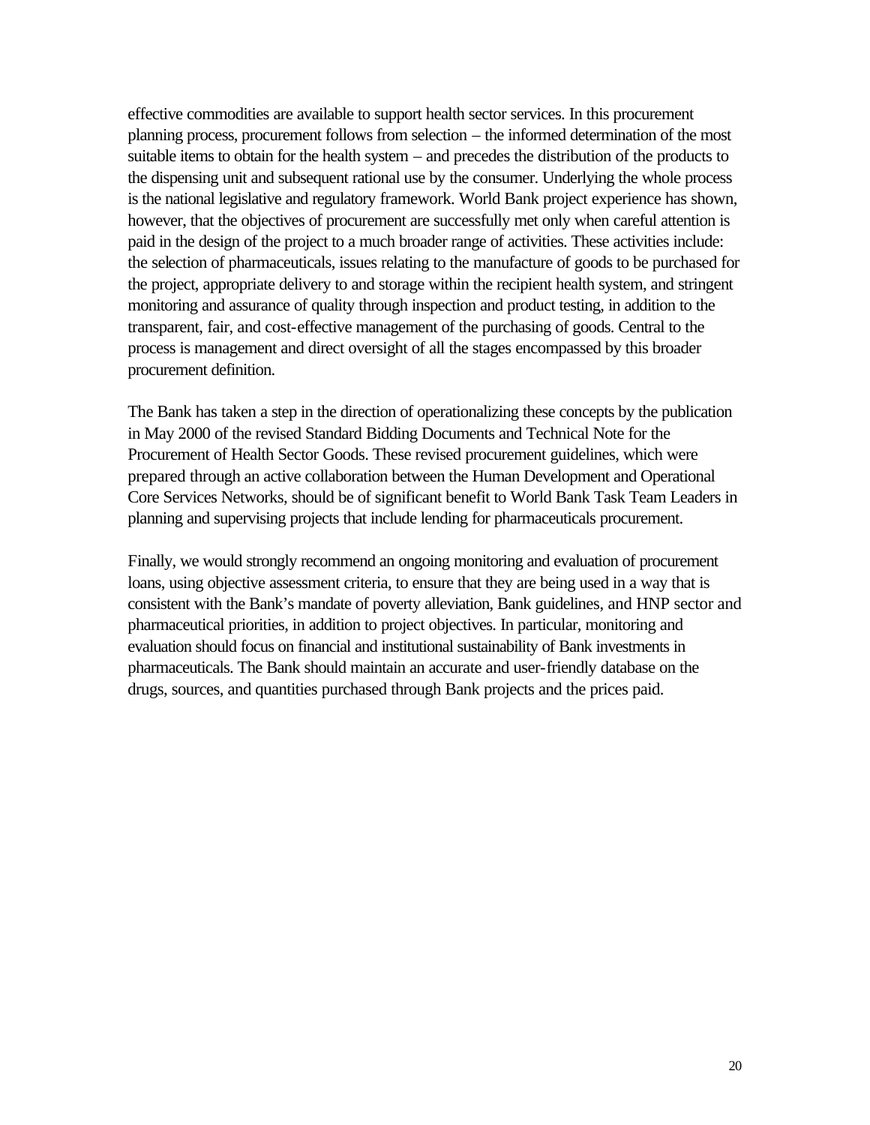effective commodities are available to support health sector services. In this procurement planning process, procurement follows from selection – the informed determination of the most suitable items to obtain for the health system – and precedes the distribution of the products to the dispensing unit and subsequent rational use by the consumer. Underlying the whole process is the national legislative and regulatory framework. World Bank project experience has shown, however, that the objectives of procurement are successfully met only when careful attention is paid in the design of the project to a much broader range of activities. These activities include: the selection of pharmaceuticals, issues relating to the manufacture of goods to be purchased for the project, appropriate delivery to and storage within the recipient health system, and stringent monitoring and assurance of quality through inspection and product testing, in addition to the transparent, fair, and cost-effective management of the purchasing of goods. Central to the process is management and direct oversight of all the stages encompassed by this broader procurement definition.

The Bank has taken a step in the direction of operationalizing these concepts by the publication in May 2000 of the revised Standard Bidding Documents and Technical Note for the Procurement of Health Sector Goods. These revised procurement guidelines, which were prepared through an active collaboration between the Human Development and Operational Core Services Networks, should be of significant benefit to World Bank Task Team Leaders in planning and supervising projects that include lending for pharmaceuticals procurement.

Finally, we would strongly recommend an ongoing monitoring and evaluation of procurement loans, using objective assessment criteria, to ensure that they are being used in a way that is consistent with the Bank's mandate of poverty alleviation, Bank guidelines, and HNP sector and pharmaceutical priorities, in addition to project objectives. In particular, monitoring and evaluation should focus on financial and institutional sustainability of Bank investments in pharmaceuticals. The Bank should maintain an accurate and user-friendly database on the drugs, sources, and quantities purchased through Bank projects and the prices paid.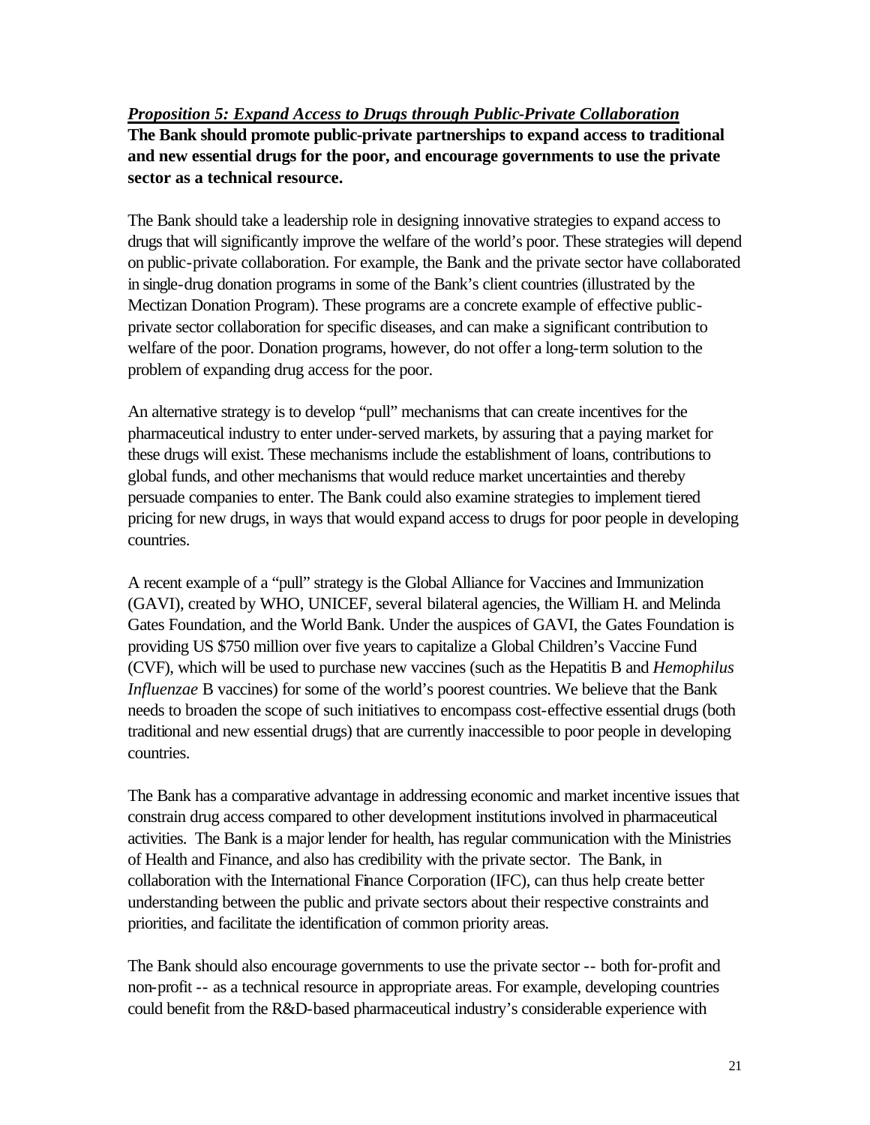<span id="page-24-0"></span>*Proposition 5: Expand Access to Drugs through Public-Private Collaboration* **The Bank should promote public-private partnerships to expand access to traditional and new essential drugs for the poor, and encourage governments to use the private sector as a technical resource.**

The Bank should take a leadership role in designing innovative strategies to expand access to drugs that will significantly improve the welfare of the world's poor. These strategies will depend on public-private collaboration. For example, the Bank and the private sector have collaborated in single-drug donation programs in some of the Bank's client countries (illustrated by the Mectizan Donation Program). These programs are a concrete example of effective publicprivate sector collaboration for specific diseases, and can make a significant contribution to welfare of the poor. Donation programs, however, do not offer a long-term solution to the problem of expanding drug access for the poor.

An alternative strategy is to develop "pull" mechanisms that can create incentives for the pharmaceutical industry to enter under-served markets, by assuring that a paying market for these drugs will exist. These mechanisms include the establishment of loans, contributions to global funds, and other mechanisms that would reduce market uncertainties and thereby persuade companies to enter. The Bank could also examine strategies to implement tiered pricing for new drugs, in ways that would expand access to drugs for poor people in developing countries.

A recent example of a "pull" strategy is the Global Alliance for Vaccines and Immunization (GAVI), created by WHO, UNICEF, several bilateral agencies, the William H. and Melinda Gates Foundation, and the World Bank. Under the auspices of GAVI, the Gates Foundation is providing US \$750 million over five years to capitalize a Global Children's Vaccine Fund (CVF), which will be used to purchase new vaccines (such as the Hepatitis B and *Hemophilus Influenzae* B vaccines) for some of the world's poorest countries. We believe that the Bank needs to broaden the scope of such initiatives to encompass cost-effective essential drugs (both traditional and new essential drugs) that are currently inaccessible to poor people in developing countries.

The Bank has a comparative advantage in addressing economic and market incentive issues that constrain drug access compared to other development institutions involved in pharmaceutical activities. The Bank is a major lender for health, has regular communication with the Ministries of Health and Finance, and also has credibility with the private sector. The Bank, in collaboration with the International Finance Corporation (IFC), can thus help create better understanding between the public and private sectors about their respective constraints and priorities, and facilitate the identification of common priority areas.

The Bank should also encourage governments to use the private sector -- both for-profit and non-profit -- as a technical resource in appropriate areas. For example, developing countries could benefit from the R&D-based pharmaceutical industry's considerable experience with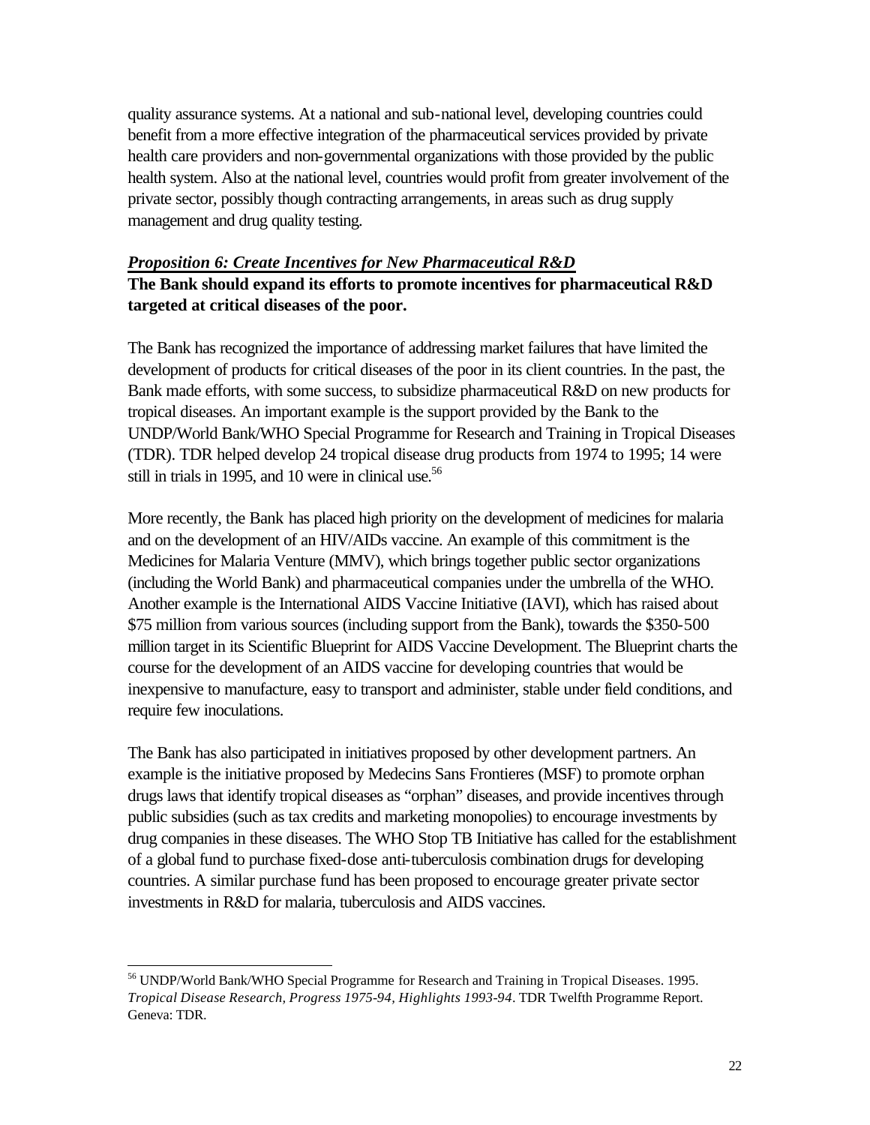<span id="page-25-0"></span>quality assurance systems. At a national and sub-national level, developing countries could benefit from a more effective integration of the pharmaceutical services provided by private health care providers and non-governmental organizations with those provided by the public health system. Also at the national level, countries would profit from greater involvement of the private sector, possibly though contracting arrangements, in areas such as drug supply management and drug quality testing.

# *Proposition 6: Create Incentives for New Pharmaceutical R&D* **The Bank should expand its efforts to promote incentives for pharmaceutical R&D targeted at critical diseases of the poor.**

The Bank has recognized the importance of addressing market failures that have limited the development of products for critical diseases of the poor in its client countries. In the past, the Bank made efforts, with some success, to subsidize pharmaceutical R&D on new products for tropical diseases. An important example is the support provided by the Bank to the UNDP/World Bank/WHO Special Programme for Research and Training in Tropical Diseases (TDR). TDR helped develop 24 tropical disease drug products from 1974 to 1995; 14 were still in trials in 1995, and 10 were in clinical use. $56$ 

More recently, the Bank has placed high priority on the development of medicines for malaria and on the development of an HIV/AIDs vaccine. An example of this commitment is the Medicines for Malaria Venture (MMV), which brings together public sector organizations (including the World Bank) and pharmaceutical companies under the umbrella of the WHO. Another example is the International AIDS Vaccine Initiative (IAVI), which has raised about \$75 million from various sources (including support from the Bank), towards the \$350-500 million target in its Scientific Blueprint for AIDS Vaccine Development. The Blueprint charts the course for the development of an AIDS vaccine for developing countries that would be inexpensive to manufacture, easy to transport and administer, stable under field conditions, and require few inoculations.

The Bank has also participated in initiatives proposed by other development partners. An example is the initiative proposed by Medecins Sans Frontieres (MSF) to promote orphan drugs laws that identify tropical diseases as "orphan" diseases, and provide incentives through public subsidies (such as tax credits and marketing monopolies) to encourage investments by drug companies in these diseases. The WHO Stop TB Initiative has called for the establishment of a global fund to purchase fixed-dose anti-tuberculosis combination drugs for developing countries. A similar purchase fund has been proposed to encourage greater private sector investments in R&D for malaria, tuberculosis and AIDS vaccines.

<sup>56</sup> UNDP/World Bank/WHO Special Programme for Research and Training in Tropical Diseases. 1995. *Tropical Disease Research, Progress 1975-94, Highlights 1993-94*. TDR Twelfth Programme Report. Geneva: TDR.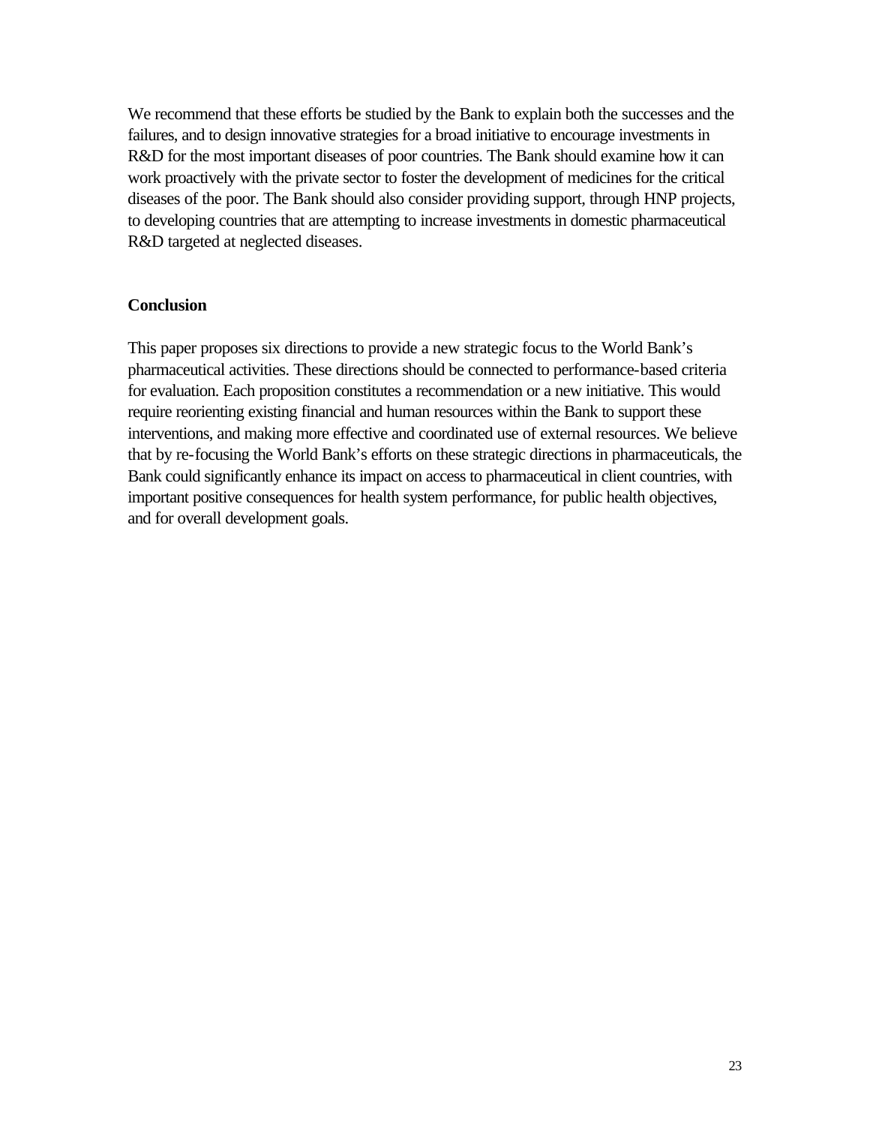<span id="page-26-0"></span>We recommend that these efforts be studied by the Bank to explain both the successes and the failures, and to design innovative strategies for a broad initiative to encourage investments in R&D for the most important diseases of poor countries. The Bank should examine how it can work proactively with the private sector to foster the development of medicines for the critical diseases of the poor. The Bank should also consider providing support, through HNP projects, to developing countries that are attempting to increase investments in domestic pharmaceutical R&D targeted at neglected diseases.

#### **Conclusion**

This paper proposes six directions to provide a new strategic focus to the World Bank's pharmaceutical activities. These directions should be connected to performance-based criteria for evaluation. Each proposition constitutes a recommendation or a new initiative. This would require reorienting existing financial and human resources within the Bank to support these interventions, and making more effective and coordinated use of external resources. We believe that by re-focusing the World Bank's efforts on these strategic directions in pharmaceuticals, the Bank could significantly enhance its impact on access to pharmaceutical in client countries, with important positive consequences for health system performance, for public health objectives, and for overall development goals.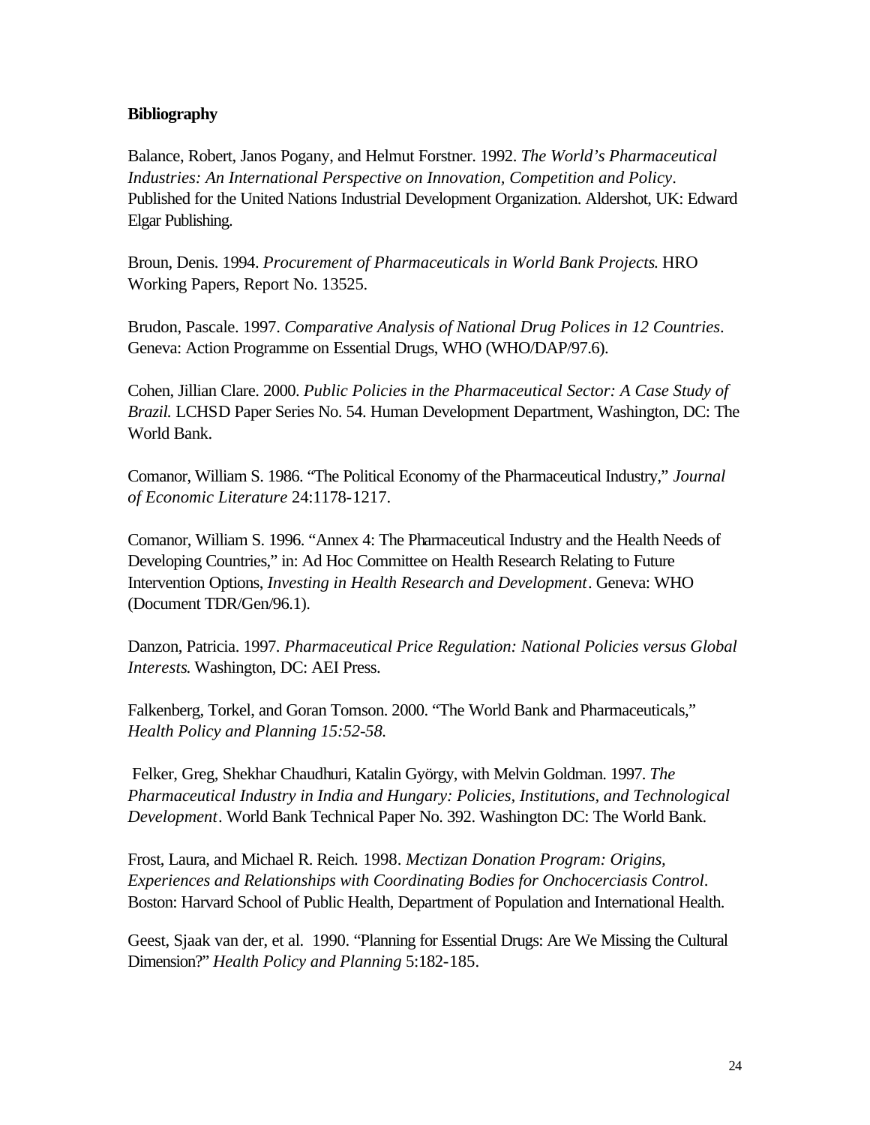### <span id="page-27-0"></span>**Bibliography**

Balance, Robert, Janos Pogany, and Helmut Forstner. 1992. *The World's Pharmaceutical Industries: An International Perspective on Innovation, Competition and Policy*. Published for the United Nations Industrial Development Organization. Aldershot, UK: Edward Elgar Publishing.

Broun, Denis. 1994. *Procurement of Pharmaceuticals in World Bank Projects*. HRO Working Papers, Report No. 13525.

Brudon, Pascale. 1997. *Comparative Analysis of National Drug Polices in 12 Countries*. Geneva: Action Programme on Essential Drugs, WHO (WHO/DAP/97.6).

Cohen, Jillian Clare. 2000. *Public Policies in the Pharmaceutical Sector: A Case Study of Brazil.* LCHSD Paper Series No. 54. Human Development Department, Washington, DC: The World Bank.

Comanor, William S. 1986. "The Political Economy of the Pharmaceutical Industry," *Journal of Economic Literature* 24:1178-1217.

Comanor, William S. 1996. "Annex 4: The Pharmaceutical Industry and the Health Needs of Developing Countries," in: Ad Hoc Committee on Health Research Relating to Future Intervention Options, *Investing in Health Research and Development*. Geneva: WHO (Document TDR/Gen/96.1).

Danzon, Patricia. 1997. *Pharmaceutical Price Regulation: National Policies versus Global Interests*. Washington, DC: AEI Press.

Falkenberg, Torkel, and Goran Tomson. 2000. "The World Bank and Pharmaceuticals," *Health Policy and Planning 15:52-58.*

Felker, Greg, Shekhar Chaudhuri, Katalin György, with Melvin Goldman. 1997. *The Pharmaceutical Industry in India and Hungary: Policies, Institutions, and Technological Development*. World Bank Technical Paper No. 392. Washington DC: The World Bank.

Frost, Laura, and Michael R. Reich. 1998. *Mectizan Donation Program: Origins, Experiences and Relationships with Coordinating Bodies for Onchocerciasis Control*. Boston: Harvard School of Public Health, Department of Population and International Health.

Geest, Sjaak van der, et al. 1990. "Planning for Essential Drugs: Are We Missing the Cultural Dimension?" *Health Policy and Planning* 5:182-185.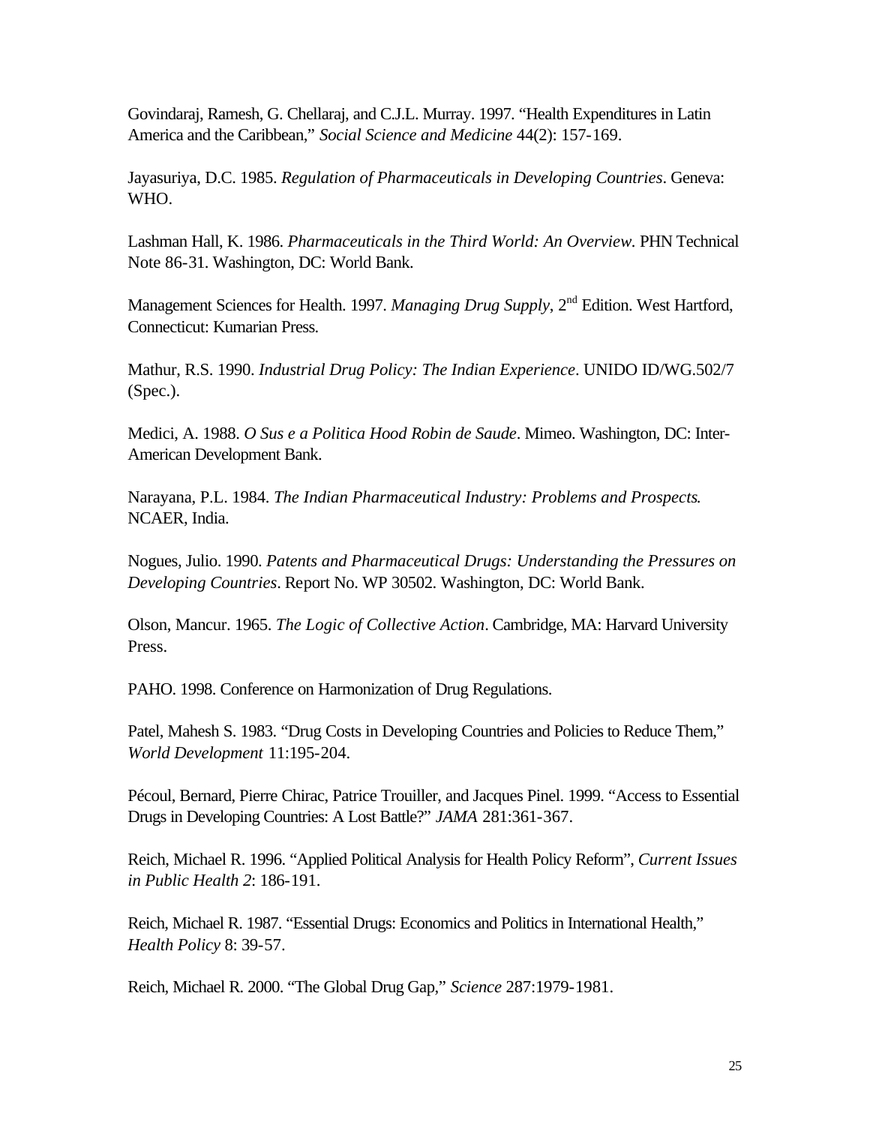Govindaraj, Ramesh, G. Chellaraj, and C.J.L. Murray. 1997. "Health Expenditures in Latin America and the Caribbean," *Social Science and Medicine* 44(2): 157-169.

Jayasuriya, D.C. 1985. *Regulation of Pharmaceuticals in Developing Countries*. Geneva: WHO.

Lashman Hall, K. 1986. *Pharmaceuticals in the Third World: An Overview.* PHN Technical Note 86-31. Washington, DC: World Bank.

Management Sciences for Health. 1997. *Managing Drug Supply*, 2nd Edition. West Hartford, Connecticut: Kumarian Press.

Mathur, R.S. 1990. *Industrial Drug Policy: The Indian Experience*. UNIDO ID/WG.502/7 (Spec.).

Medici, A. 1988. *O Sus e a Politica Hood Robin de Saude*. Mimeo. Washington, DC: Inter-American Development Bank.

Narayana, P.L. 1984. *The Indian Pharmaceutical Industry: Problems and Prospects*. NCAER, India.

Nogues, Julio. 1990. *Patents and Pharmaceutical Drugs: Understanding the Pressures on Developing Countries*. Report No. WP 30502. Washington, DC: World Bank.

Olson, Mancur. 1965. *The Logic of Collective Action*. Cambridge, MA: Harvard University Press.

PAHO. 1998. Conference on Harmonization of Drug Regulations.

Patel, Mahesh S. 1983. "Drug Costs in Developing Countries and Policies to Reduce Them," *World Development* 11:195-204.

Pécoul, Bernard, Pierre Chirac, Patrice Trouiller, and Jacques Pinel. 1999. "Access to Essential Drugs in Developing Countries: A Lost Battle?" *JAMA* 281:361-367.

Reich, Michael R. 1996. "Applied Political Analysis for Health Policy Reform", *Current Issues in Public Health 2*: 186-191.

Reich, Michael R. 1987. "Essential Drugs: Economics and Politics in International Health," *Health Policy* 8: 39-57.

Reich, Michael R. 2000. "The Global Drug Gap," *Science* 287:1979-1981.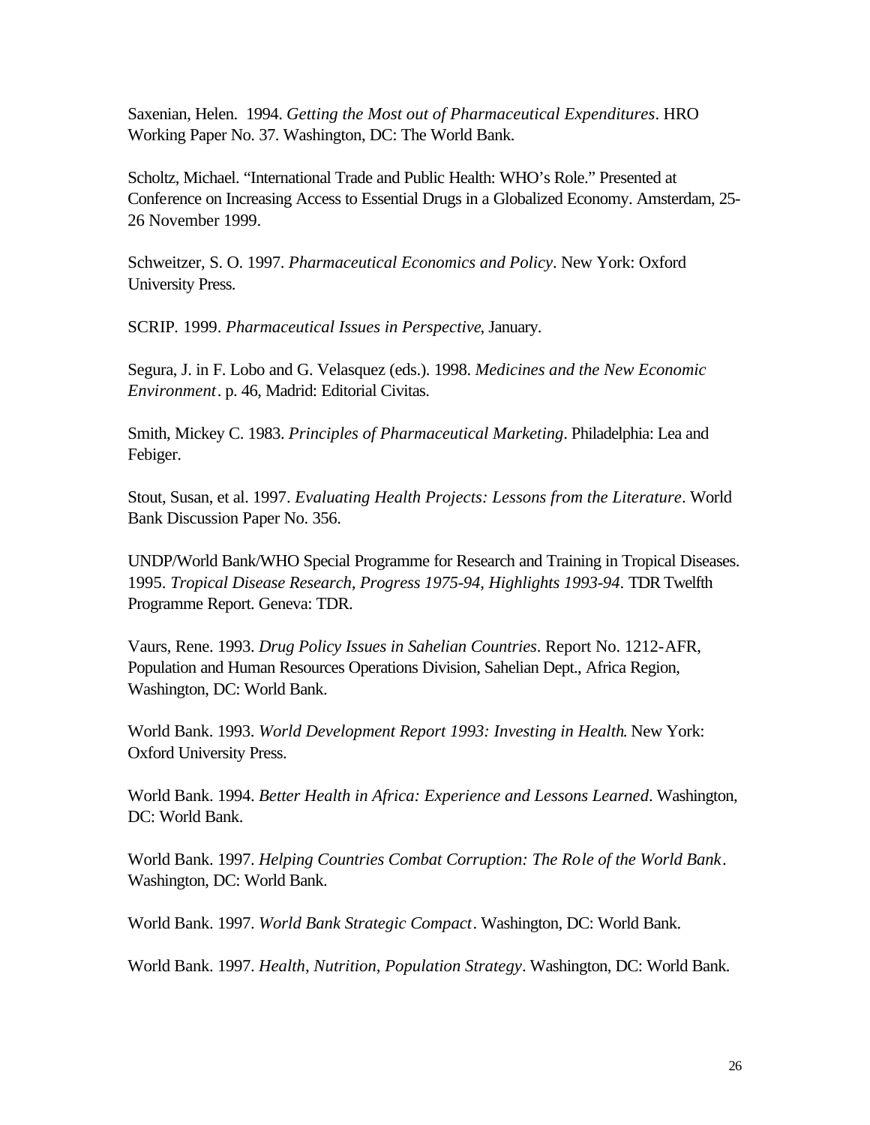Saxenian, Helen. 1994. *Getting the Most out of Pharmaceutical Expenditures*. HRO Working Paper No. 37. Washington, DC: The World Bank.

Scholtz, Michael. "International Trade and Public Health: WHO's Role." Presented at Conference on Increasing Access to Essential Drugs in a Globalized Economy. Amsterdam, 25- 26 November 1999.

Schweitzer, S. O. 1997. *Pharmaceutical Economics and Policy*. New York: Oxford University Press.

SCRIP*.* 1999. *Pharmaceutical Issues in Perspective*, January.

Segura, J. in F. Lobo and G. Velasquez (eds.). 1998. *Medicines and the New Economic Environment*. p. 46, Madrid: Editorial Civitas.

Smith, Mickey C. 1983. *Principles of Pharmaceutical Marketing*. Philadelphia: Lea and Febiger.

Stout, Susan, et al. 1997. *Evaluating Health Projects: Lessons from the Literature*. World Bank Discussion Paper No. 356.

UNDP/World Bank/WHO Special Programme for Research and Training in Tropical Diseases. 1995. *Tropical Disease Research, Progress 1975-94, Highlights 1993-94*. TDR Twelfth Programme Report. Geneva: TDR.

Vaurs, Rene. 1993. *Drug Policy Issues in Sahelian Countries*. Report No. 1212-AFR, Population and Human Resources Operations Division, Sahelian Dept., Africa Region, Washington, DC: World Bank.

World Bank. 1993. *World Development Report 1993: Investing in Health*. New York: Oxford University Press.

World Bank. 1994. *Better Health in Africa: Experience and Lessons Learned*. Washington, DC: World Bank.

World Bank. 1997. *Helping Countries Combat Corruption: The Role of the World Bank*. Washington, DC: World Bank.

World Bank. 1997. *World Bank Strategic Compact*. Washington, DC: World Bank.

World Bank. 1997. *Health, Nutrition, Population Strategy*. Washington, DC: World Bank.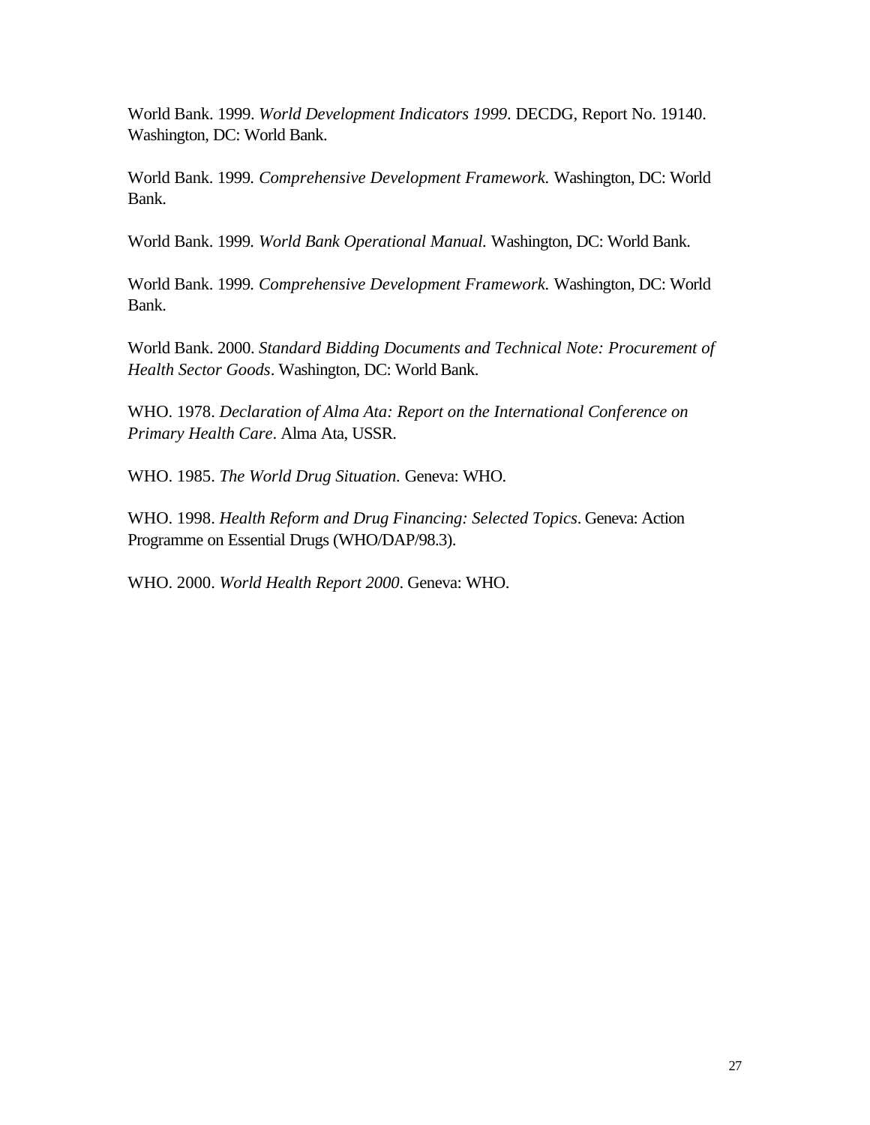World Bank. 1999. *World Development Indicators 1999*. DECDG, Report No. 19140. Washington, DC: World Bank.

World Bank. 1999*. Comprehensive Development Framework.* Washington, DC: World Bank.

World Bank. 1999*. World Bank Operational Manual.* Washington, DC: World Bank.

World Bank. 1999*. Comprehensive Development Framework.* Washington, DC: World Bank.

World Bank. 2000. *Standard Bidding Documents and Technical Note: Procurement of Health Sector Goods*. Washington, DC: World Bank.

WHO. 1978. *Declaration of Alma Ata: Report on the International Conference on Primary Health Care*. Alma Ata, USSR.

WHO. 1985. *The World Drug Situation.* Geneva: WHO.

WHO. 1998. *Health Reform and Drug Financing: Selected Topics*. Geneva: Action Programme on Essential Drugs (WHO/DAP/98.3).

WHO. 2000. *World Health Report 2000*. Geneva: WHO.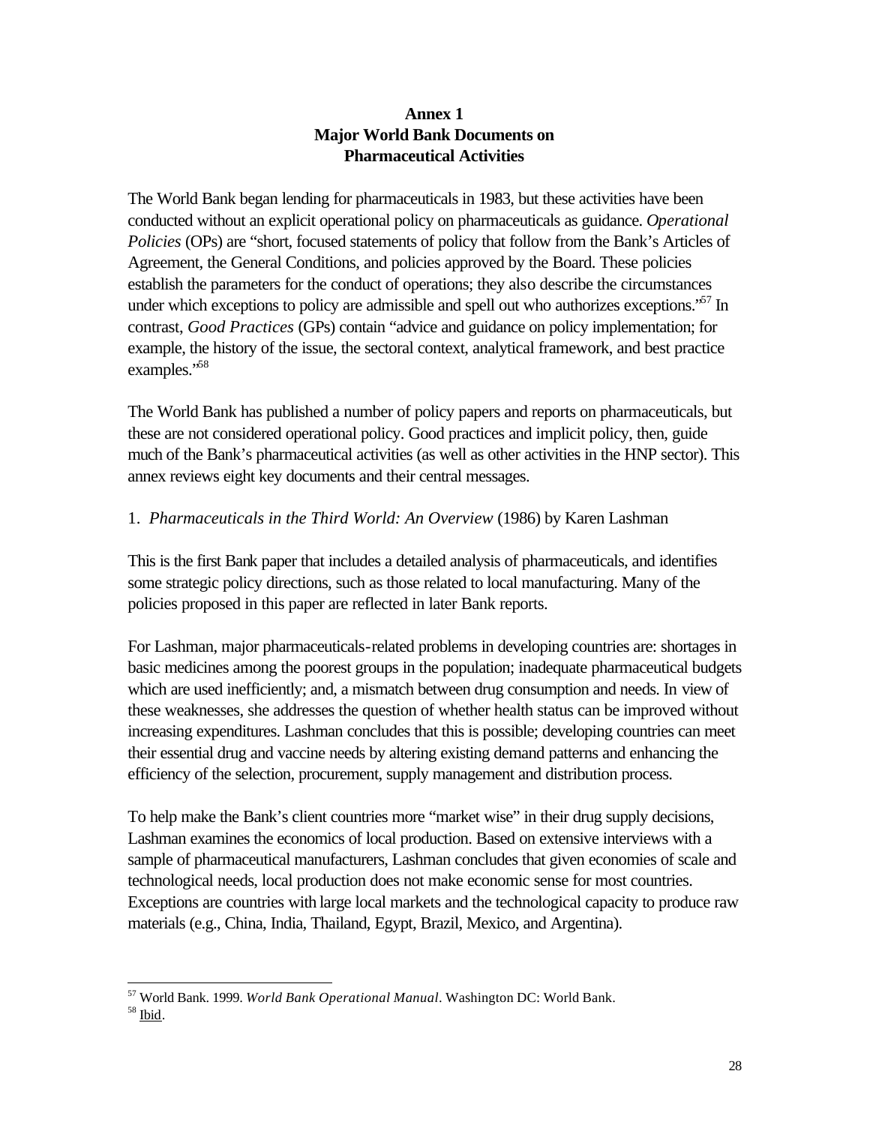## **Annex 1 Major World Bank Documents on Pharmaceutical Activities**

<span id="page-31-0"></span>The World Bank began lending for pharmaceuticals in 1983, but these activities have been conducted without an explicit operational policy on pharmaceuticals as guidance. *Operational Policies* (OPs) are "short, focused statements of policy that follow from the Bank's Articles of Agreement, the General Conditions, and policies approved by the Board. These policies establish the parameters for the conduct of operations; they also describe the circumstances under which exceptions to policy are admissible and spell out who authorizes exceptions.<sup>57</sup> In contrast, *Good Practices* (GPs) contain "advice and guidance on policy implementation; for example, the history of the issue, the sectoral context, analytical framework, and best practice examples."<sup>58</sup>

The World Bank has published a number of policy papers and reports on pharmaceuticals, but these are not considered operational policy. Good practices and implicit policy, then, guide much of the Bank's pharmaceutical activities (as well as other activities in the HNP sector). This annex reviews eight key documents and their central messages.

## 1. *Pharmaceuticals in the Third World: An Overview* (1986) by Karen Lashman

This is the first Bank paper that includes a detailed analysis of pharmaceuticals, and identifies some strategic policy directions, such as those related to local manufacturing. Many of the policies proposed in this paper are reflected in later Bank reports.

For Lashman, major pharmaceuticals-related problems in developing countries are: shortages in basic medicines among the poorest groups in the population; inadequate pharmaceutical budgets which are used inefficiently; and, a mismatch between drug consumption and needs. In view of these weaknesses, she addresses the question of whether health status can be improved without increasing expenditures. Lashman concludes that this is possible; developing countries can meet their essential drug and vaccine needs by altering existing demand patterns and enhancing the efficiency of the selection, procurement, supply management and distribution process.

To help make the Bank's client countries more "market wise" in their drug supply decisions, Lashman examines the economics of local production. Based on extensive interviews with a sample of pharmaceutical manufacturers, Lashman concludes that given economies of scale and technological needs, local production does not make economic sense for most countries. Exceptions are countries with large local markets and the technological capacity to produce raw materials (e.g., China, India, Thailand, Egypt, Brazil, Mexico, and Argentina).

<sup>57</sup> World Bank. 1999. *World Bank Operational Manual*. Washington DC: World Bank.

 $58$  Ibid.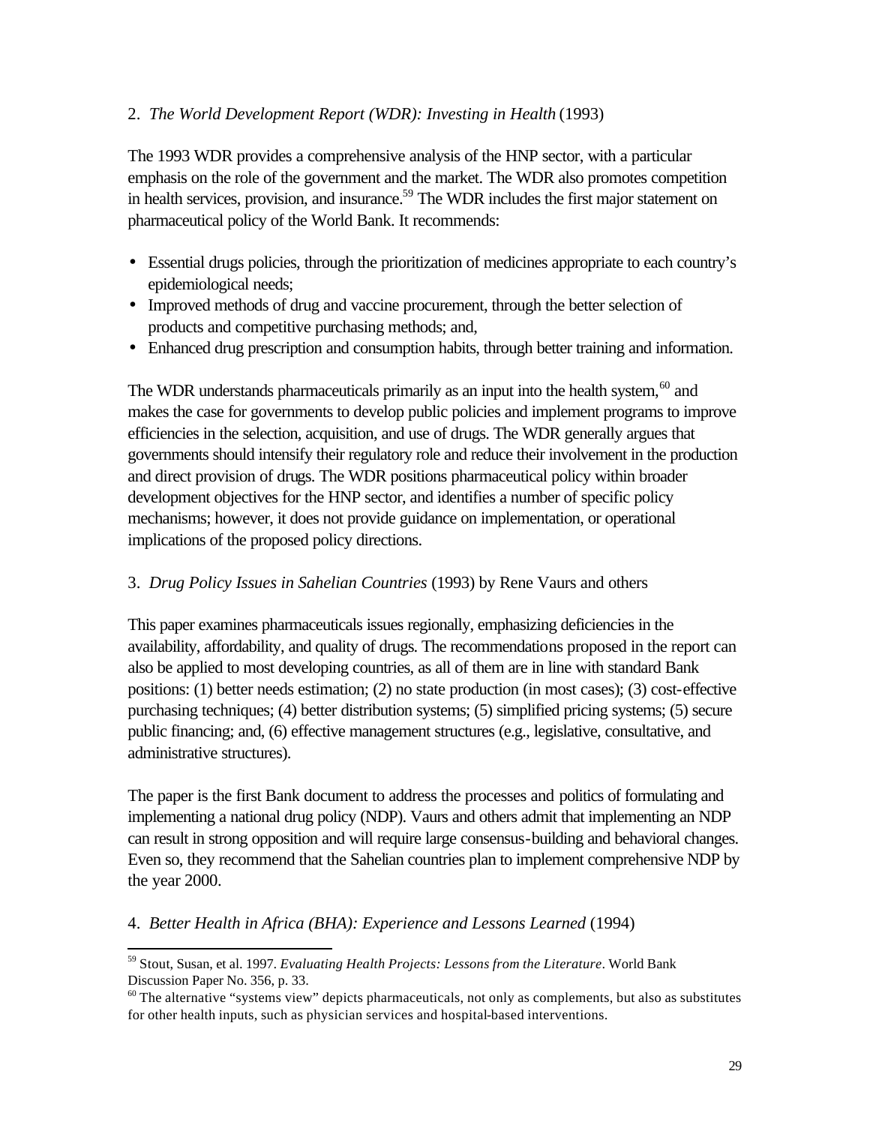### 2. *The World Development Report (WDR): Investing in Health* (1993)

The 1993 WDR provides a comprehensive analysis of the HNP sector, with a particular emphasis on the role of the government and the market. The WDR also promotes competition in health services, provision, and insurance.<sup>59</sup> The WDR includes the first major statement on pharmaceutical policy of the World Bank. It recommends:

- Essential drugs policies, through the prioritization of medicines appropriate to each country's epidemiological needs;
- Improved methods of drug and vaccine procurement, through the better selection of products and competitive purchasing methods; and,
- Enhanced drug prescription and consumption habits, through better training and information.

The WDR understands pharmaceuticals primarily as an input into the health system,  $60$  and makes the case for governments to develop public policies and implement programs to improve efficiencies in the selection, acquisition, and use of drugs. The WDR generally argues that governments should intensify their regulatory role and reduce their involvement in the production and direct provision of drugs. The WDR positions pharmaceutical policy within broader development objectives for the HNP sector, and identifies a number of specific policy mechanisms; however, it does not provide guidance on implementation, or operational implications of the proposed policy directions.

## 3. *Drug Policy Issues in Sahelian Countries* (1993) by Rene Vaurs and others

This paper examines pharmaceuticals issues regionally, emphasizing deficiencies in the availability, affordability, and quality of drugs. The recommendations proposed in the report can also be applied to most developing countries, as all of them are in line with standard Bank positions: (1) better needs estimation; (2) no state production (in most cases); (3) cost-effective purchasing techniques; (4) better distribution systems; (5) simplified pricing systems; (5) secure public financing; and, (6) effective management structures (e.g., legislative, consultative, and administrative structures).

The paper is the first Bank document to address the processes and politics of formulating and implementing a national drug policy (NDP). Vaurs and others admit that implementing an NDP can result in strong opposition and will require large consensus-building and behavioral changes. Even so, they recommend that the Sahelian countries plan to implement comprehensive NDP by the year 2000.

#### 4. *Better Health in Africa (BHA): Experience and Lessons Learned* (1994)

<sup>59</sup> Stout, Susan, et al. 1997. *Evaluating Health Projects: Lessons from the Literature*. World Bank Discussion Paper No. 356, p. 33.

 $60$  The alternative "systems view" depicts pharmaceuticals, not only as complements, but also as substitutes for other health inputs, such as physician services and hospital-based interventions.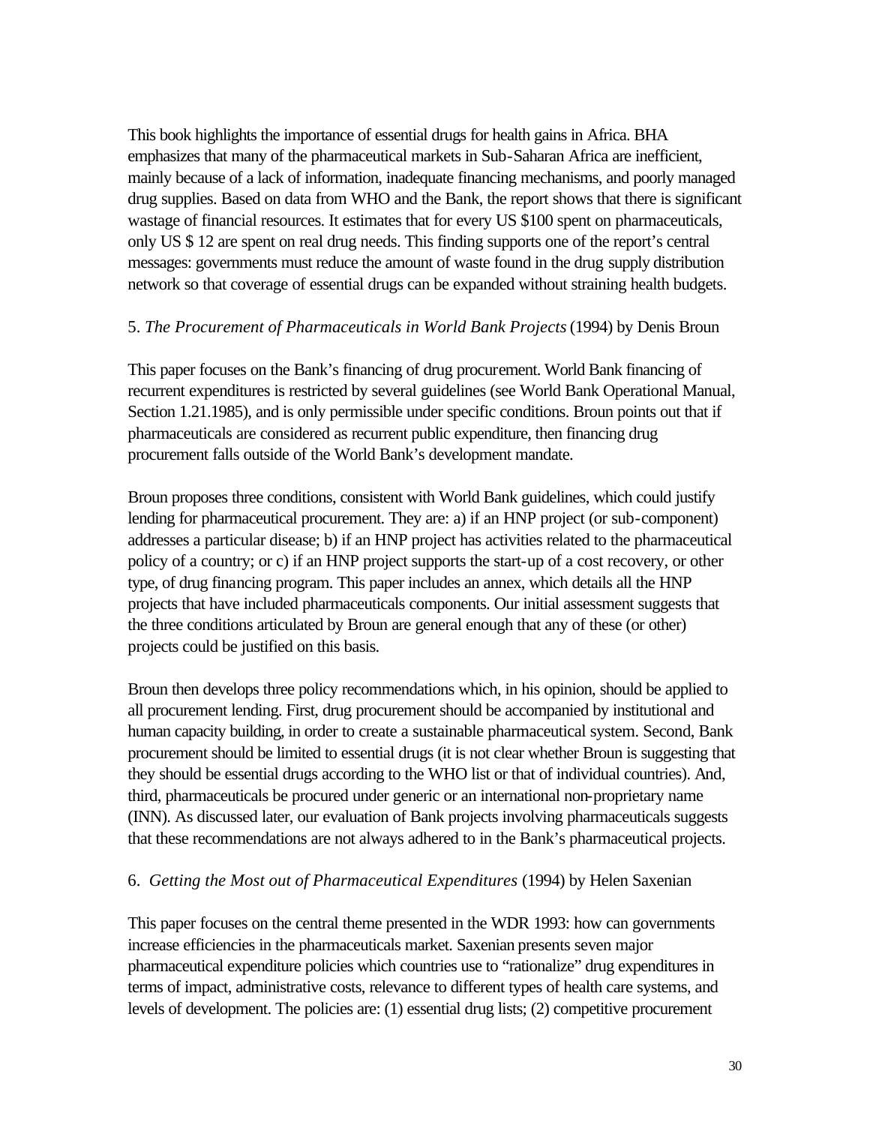This book highlights the importance of essential drugs for health gains in Africa. BHA emphasizes that many of the pharmaceutical markets in Sub-Saharan Africa are inefficient, mainly because of a lack of information, inadequate financing mechanisms, and poorly managed drug supplies. Based on data from WHO and the Bank, the report shows that there is significant wastage of financial resources. It estimates that for every US \$100 spent on pharmaceuticals, only US \$ 12 are spent on real drug needs. This finding supports one of the report's central messages: governments must reduce the amount of waste found in the drug supply distribution network so that coverage of essential drugs can be expanded without straining health budgets.

### 5. *The Procurement of Pharmaceuticals in World Bank Projects* (1994) by Denis Broun

This paper focuses on the Bank's financing of drug procurement. World Bank financing of recurrent expenditures is restricted by several guidelines (see World Bank Operational Manual, Section 1.21.1985), and is only permissible under specific conditions. Broun points out that if pharmaceuticals are considered as recurrent public expenditure, then financing drug procurement falls outside of the World Bank's development mandate.

Broun proposes three conditions, consistent with World Bank guidelines, which could justify lending for pharmaceutical procurement. They are: a) if an HNP project (or sub-component) addresses a particular disease; b) if an HNP project has activities related to the pharmaceutical policy of a country; or c) if an HNP project supports the start-up of a cost recovery, or other type, of drug financing program. This paper includes an annex, which details all the HNP projects that have included pharmaceuticals components. Our initial assessment suggests that the three conditions articulated by Broun are general enough that any of these (or other) projects could be justified on this basis.

Broun then develops three policy recommendations which, in his opinion, should be applied to all procurement lending. First, drug procurement should be accompanied by institutional and human capacity building, in order to create a sustainable pharmaceutical system. Second, Bank procurement should be limited to essential drugs (it is not clear whether Broun is suggesting that they should be essential drugs according to the WHO list or that of individual countries). And, third, pharmaceuticals be procured under generic or an international non-proprietary name (INN). As discussed later, our evaluation of Bank projects involving pharmaceuticals suggests that these recommendations are not always adhered to in the Bank's pharmaceutical projects.

## 6. *Getting the Most out of Pharmaceutical Expenditures* (1994) by Helen Saxenian

This paper focuses on the central theme presented in the WDR 1993: how can governments increase efficiencies in the pharmaceuticals market. Saxenian presents seven major pharmaceutical expenditure policies which countries use to "rationalize" drug expenditures in terms of impact, administrative costs, relevance to different types of health care systems, and levels of development. The policies are: (1) essential drug lists; (2) competitive procurement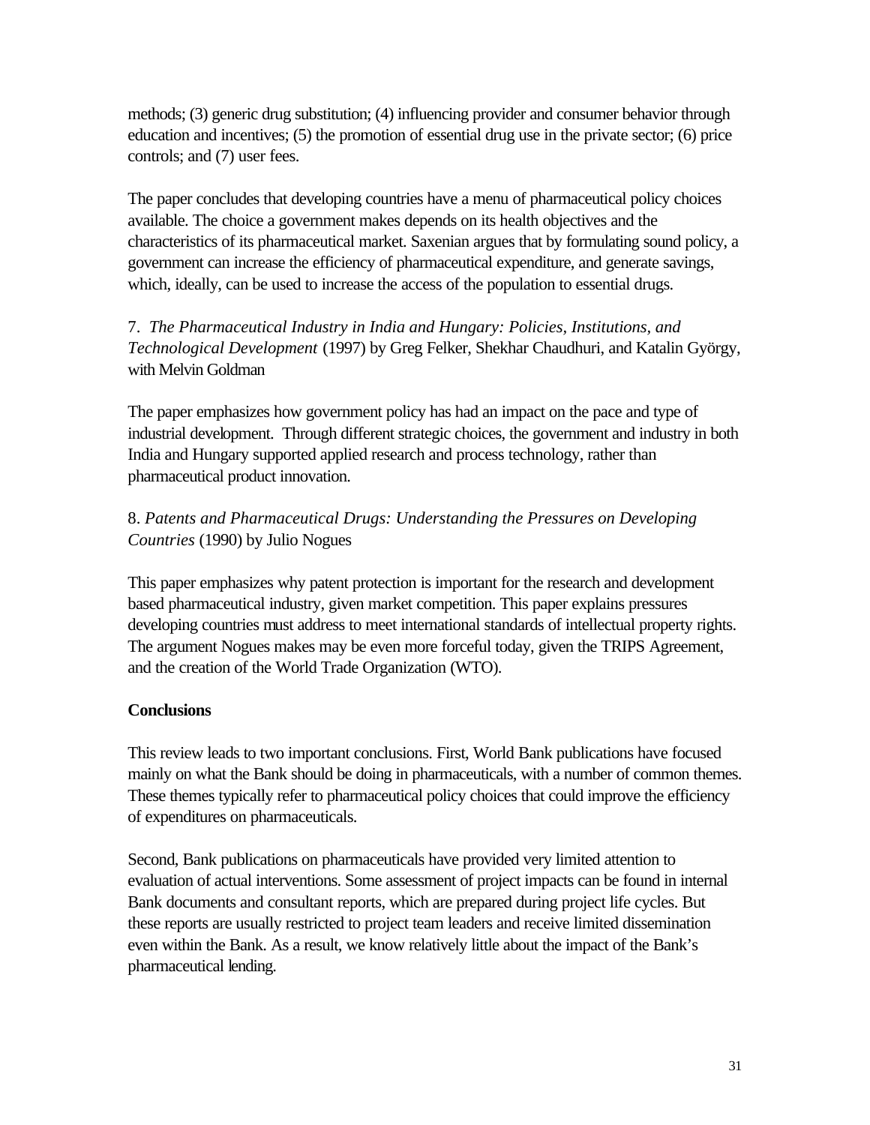methods; (3) generic drug substitution; (4) influencing provider and consumer behavior through education and incentives; (5) the promotion of essential drug use in the private sector; (6) price controls; and (7) user fees.

The paper concludes that developing countries have a menu of pharmaceutical policy choices available. The choice a government makes depends on its health objectives and the characteristics of its pharmaceutical market. Saxenian argues that by formulating sound policy, a government can increase the efficiency of pharmaceutical expenditure, and generate savings, which, ideally, can be used to increase the access of the population to essential drugs.

7. *The Pharmaceutical Industry in India and Hungary: Policies, Institutions, and Technological Development* (1997) by Greg Felker, Shekhar Chaudhuri, and Katalin György, with Melvin Goldman

The paper emphasizes how government policy has had an impact on the pace and type of industrial development. Through different strategic choices, the government and industry in both India and Hungary supported applied research and process technology, rather than pharmaceutical product innovation.

# 8. *Patents and Pharmaceutical Drugs: Understanding the Pressures on Developing Countries* (1990) by Julio Nogues

This paper emphasizes why patent protection is important for the research and development based pharmaceutical industry, given market competition. This paper explains pressures developing countries must address to meet international standards of intellectual property rights. The argument Nogues makes may be even more forceful today, given the TRIPS Agreement, and the creation of the World Trade Organization (WTO).

## **Conclusions**

This review leads to two important conclusions. First, World Bank publications have focused mainly on what the Bank should be doing in pharmaceuticals, with a number of common themes. These themes typically refer to pharmaceutical policy choices that could improve the efficiency of expenditures on pharmaceuticals.

Second, Bank publications on pharmaceuticals have provided very limited attention to evaluation of actual interventions. Some assessment of project impacts can be found in internal Bank documents and consultant reports, which are prepared during project life cycles. But these reports are usually restricted to project team leaders and receive limited dissemination even within the Bank. As a result, we know relatively little about the impact of the Bank's pharmaceutical lending.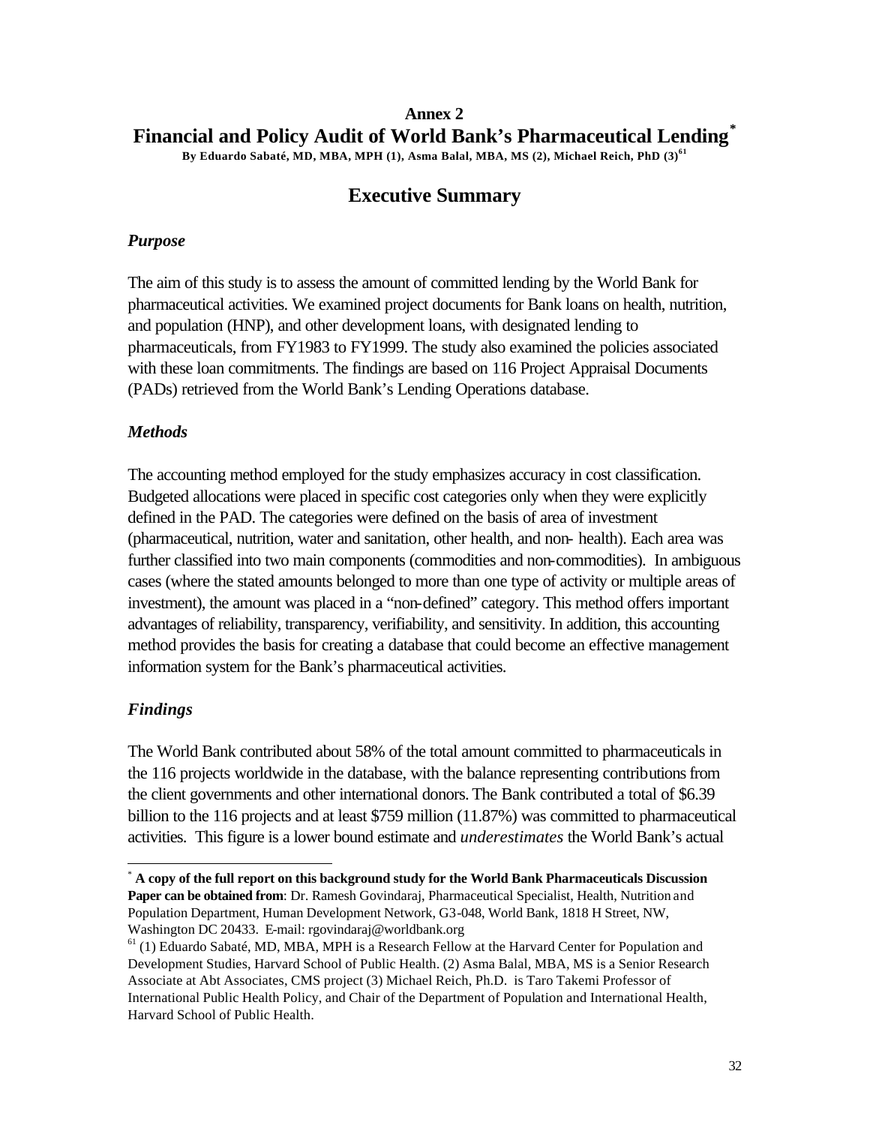# <span id="page-35-0"></span>**Annex 2 Financial and Policy Audit of World Bank's Pharmaceutical Lending\***

**By Eduardo Sabaté, MD, MBA, MPH (1), Asma Balal, MBA, MS (2), Michael Reich, PhD (3)<sup>61</sup>**

# **Executive Summary**

### *Purpose*

The aim of this study is to assess the amount of committed lending by the World Bank for pharmaceutical activities. We examined project documents for Bank loans on health, nutrition, and population (HNP), and other development loans, with designated lending to pharmaceuticals, from FY1983 to FY1999. The study also examined the policies associated with these loan commitments. The findings are based on 116 Project Appraisal Documents (PADs) retrieved from the World Bank's Lending Operations database.

### *Methods*

The accounting method employed for the study emphasizes accuracy in cost classification. Budgeted allocations were placed in specific cost categories only when they were explicitly defined in the PAD. The categories were defined on the basis of area of investment (pharmaceutical, nutrition, water and sanitation, other health, and non- health). Each area was further classified into two main components (commodities and non-commodities). In ambiguous cases (where the stated amounts belonged to more than one type of activity or multiple areas of investment), the amount was placed in a "non-defined" category. This method offers important advantages of reliability, transparency, verifiability, and sensitivity. In addition, this accounting method provides the basis for creating a database that could become an effective management information system for the Bank's pharmaceutical activities.

## *Findings*

l

The World Bank contributed about 58% of the total amount committed to pharmaceuticals in the 116 projects worldwide in the database, with the balance representing contributions from the client governments and other international donors. The Bank contributed a total of \$6.39 billion to the 116 projects and at least \$759 million (11.87%) was committed to pharmaceutical activities. This figure is a lower bound estimate and *underestimates* the World Bank's actual

<sup>\*</sup> **A copy of the full report on this background study for the World Bank Pharmaceuticals Discussion Paper can be obtained from**: Dr. Ramesh Govindaraj, Pharmaceutical Specialist, Health, Nutrition and Population Department, Human Development Network, G3-048, World Bank, 1818 H Street, NW, Washington DC 20433. E-mail: rgovindaraj@worldbank.org

 $61$  (1) Eduardo Sabaté, MD, MBA, MPH is a Research Fellow at the Harvard Center for Population and Development Studies, Harvard School of Public Health. (2) Asma Balal, MBA, MS is a Senior Research Associate at Abt Associates, CMS project (3) Michael Reich, Ph.D. is Taro Takemi Professor of International Public Health Policy, and Chair of the Department of Population and International Health, Harvard School of Public Health.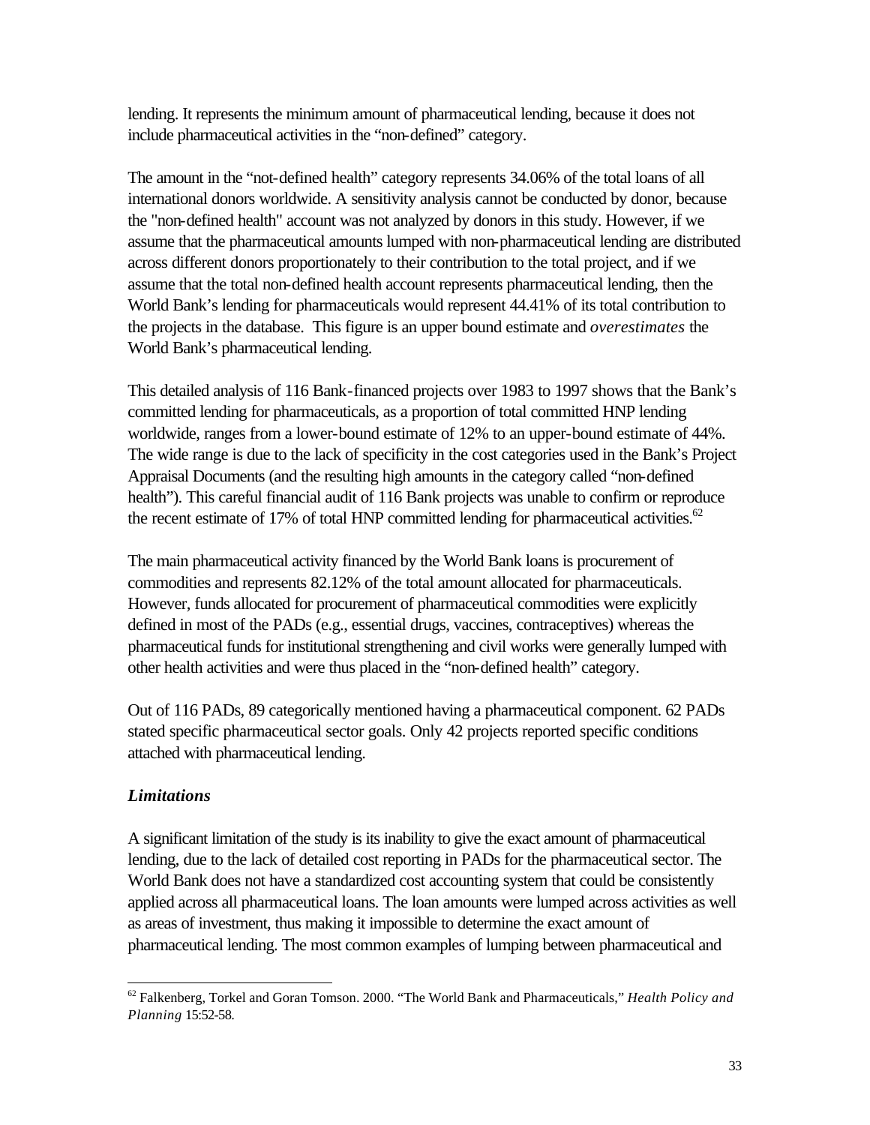lending. It represents the minimum amount of pharmaceutical lending, because it does not include pharmaceutical activities in the "non-defined" category.

The amount in the "not-defined health" category represents 34.06% of the total loans of all international donors worldwide. A sensitivity analysis cannot be conducted by donor, because the "non-defined health" account was not analyzed by donors in this study. However, if we assume that the pharmaceutical amounts lumped with non-pharmaceutical lending are distributed across different donors proportionately to their contribution to the total project, and if we assume that the total non-defined health account represents pharmaceutical lending, then the World Bank's lending for pharmaceuticals would represent 44.41% of its total contribution to the projects in the database. This figure is an upper bound estimate and *overestimates* the World Bank's pharmaceutical lending.

This detailed analysis of 116 Bank-financed projects over 1983 to 1997 shows that the Bank's committed lending for pharmaceuticals, as a proportion of total committed HNP lending worldwide, ranges from a lower-bound estimate of 12% to an upper-bound estimate of 44%. The wide range is due to the lack of specificity in the cost categories used in the Bank's Project Appraisal Documents (and the resulting high amounts in the category called "non-defined health"). This careful financial audit of 116 Bank projects was unable to confirm or reproduce the recent estimate of 17% of total HNP committed lending for pharmaceutical activities. $62$ 

The main pharmaceutical activity financed by the World Bank loans is procurement of commodities and represents 82.12% of the total amount allocated for pharmaceuticals. However, funds allocated for procurement of pharmaceutical commodities were explicitly defined in most of the PADs (e.g., essential drugs, vaccines, contraceptives) whereas the pharmaceutical funds for institutional strengthening and civil works were generally lumped with other health activities and were thus placed in the "non-defined health" category.

Out of 116 PADs, 89 categorically mentioned having a pharmaceutical component. 62 PADs stated specific pharmaceutical sector goals. Only 42 projects reported specific conditions attached with pharmaceutical lending.

## *Limitations*

l

A significant limitation of the study is its inability to give the exact amount of pharmaceutical lending, due to the lack of detailed cost reporting in PADs for the pharmaceutical sector. The World Bank does not have a standardized cost accounting system that could be consistently applied across all pharmaceutical loans. The loan amounts were lumped across activities as well as areas of investment, thus making it impossible to determine the exact amount of pharmaceutical lending. The most common examples of lumping between pharmaceutical and

<sup>62</sup> Falkenberg, Torkel and Goran Tomson. 2000. "The World Bank and Pharmaceuticals," *Health Policy and Planning* 15:52-58.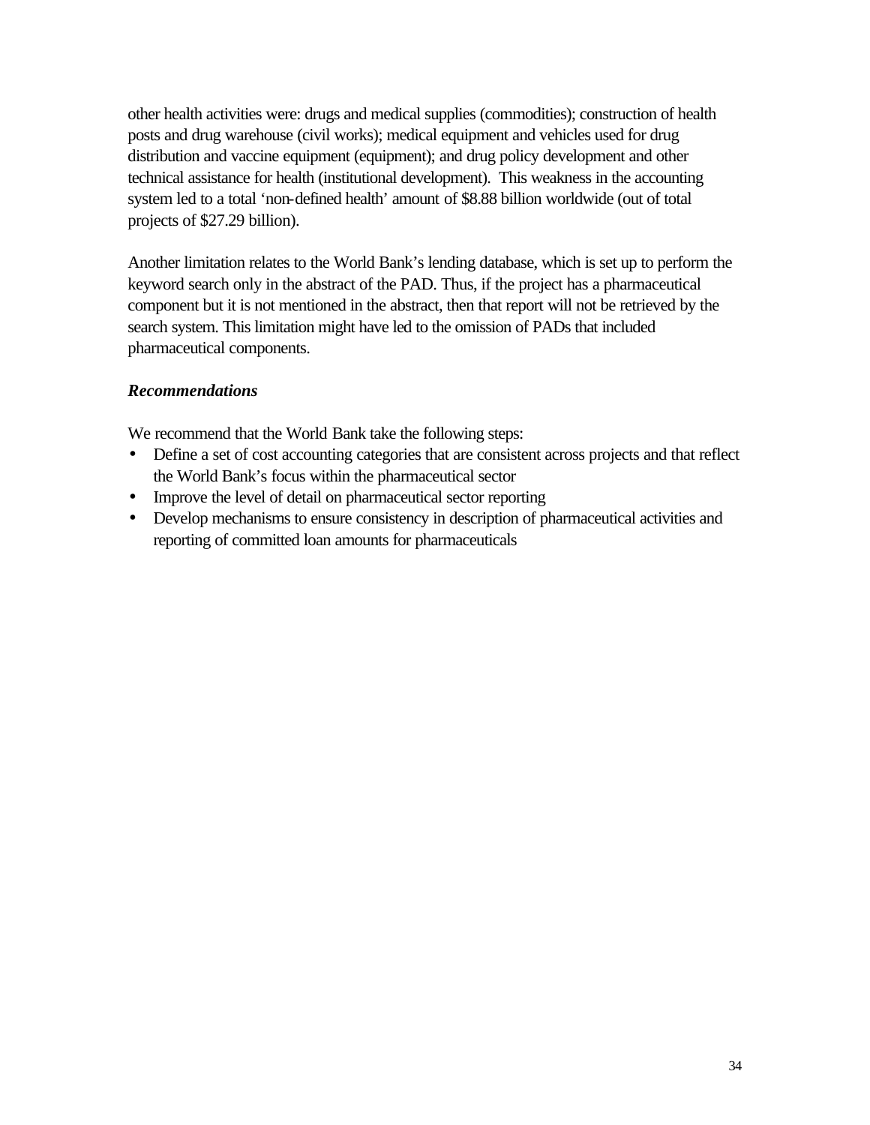other health activities were: drugs and medical supplies (commodities); construction of health posts and drug warehouse (civil works); medical equipment and vehicles used for drug distribution and vaccine equipment (equipment); and drug policy development and other technical assistance for health (institutional development). This weakness in the accounting system led to a total 'non-defined health' amount of \$8.88 billion worldwide (out of total projects of \$27.29 billion).

Another limitation relates to the World Bank's lending database, which is set up to perform the keyword search only in the abstract of the PAD. Thus, if the project has a pharmaceutical component but it is not mentioned in the abstract, then that report will not be retrieved by the search system. This limitation might have led to the omission of PADs that included pharmaceutical components.

## *Recommendations*

We recommend that the World Bank take the following steps:

- Define a set of cost accounting categories that are consistent across projects and that reflect the World Bank's focus within the pharmaceutical sector
- Improve the level of detail on pharmaceutical sector reporting
- Develop mechanisms to ensure consistency in description of pharmaceutical activities and reporting of committed loan amounts for pharmaceuticals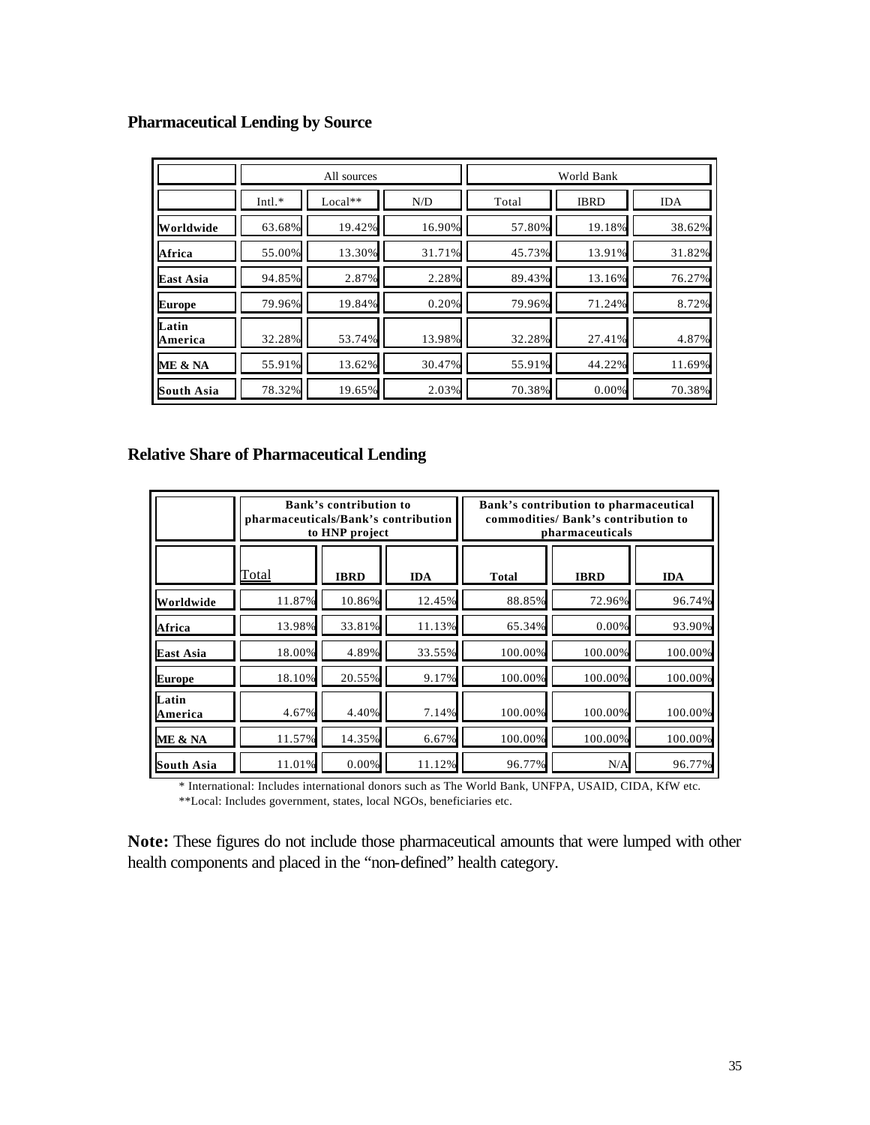### **Pharmaceutical Lending by Source**

|                   | All sources |           |        | World Bank |             |            |
|-------------------|-------------|-----------|--------|------------|-------------|------------|
|                   | $Intl.*$    | $Local**$ | N/D    | Total      | <b>IBRD</b> | <b>IDA</b> |
| Worldwide         | 63.68%      | 19.42%    | 16.90% | 57.80%     | 19.18%      | 38.62%     |
| Africa            | 55.00%      | 13.30%    | 31.71% | 45.73%     | 13.91%      | 31.82%     |
| <b>East Asia</b>  | 94.85%      | 2.87%     | 2.28%  | 89.43%     | 13.16%      | 76.27%     |
| <b>Europe</b>     | 79.96%      | 19.84%    | 0.20%  | 79.96%     | 71.24%      | 8.72%      |
| Latin<br>America  | 32.28%      | 53.74%    | 13.98% | 32.28%     | 27.41%      | 4.87%      |
| ME & NA           | 55.91%      | 13.62%    | 30.47% | 55.91%     | 44.22%      | 11.69%     |
| <b>South Asia</b> | 78.32%      | 19.65%    | 2.03%  | 70.38%     | 0.00%       | 70.38%     |

### **Relative Share of Pharmaceutical Lending**

|                  | Bank's contribution to<br>pharmaceuticals/Bank's contribution<br>to HNP project |             |            | Bank's contribution to pharmaceutical<br>commodities/ Bank's contribution to<br>pharmaceuticals |             |            |
|------------------|---------------------------------------------------------------------------------|-------------|------------|-------------------------------------------------------------------------------------------------|-------------|------------|
|                  | <b>Total</b>                                                                    | <b>IBRD</b> | <b>IDA</b> | <b>Total</b>                                                                                    | <b>IBRD</b> | <b>IDA</b> |
| Worldwide        | 11.87%                                                                          | 10.86%      | 12.45%     | 88.85%                                                                                          | 72.96%      | 96.74%     |
| Africa           | 13.98%                                                                          | 33.81%      | 11.13%     | 65.34%                                                                                          | 0.00%       | 93.90%     |
| East Asia        | 18.00%                                                                          | 4.89%       | 33.55%     | 100.00%                                                                                         | 100.00%     | 100.00%    |
| <b>Europe</b>    | 18.10%                                                                          | 20.55%      | 9.17%      | 100.00%                                                                                         | 100.00%     | 100.00%    |
| Latin<br>America | 4.67%                                                                           | 4.40%       | 7.14%      | 100.00%                                                                                         | 100.00%     | 100.00%    |
| ME & NA          | 11.57%                                                                          | 14.35%      | 6.67%      | 100.00%                                                                                         | 100.00%     | 100.00%    |
| South Asia       | 11.01%                                                                          | 0.00%       | 11.12%     | 96.77%                                                                                          | N/A         | 96.77%     |

\* International: Includes international donors such as The World Bank, UNFPA, USAID, CIDA, KfW etc. \*\*Local: Includes government, states, local NGOs, beneficiaries etc.

**Note:** These figures do not include those pharmaceutical amounts that were lumped with other health components and placed in the "non-defined" health category.